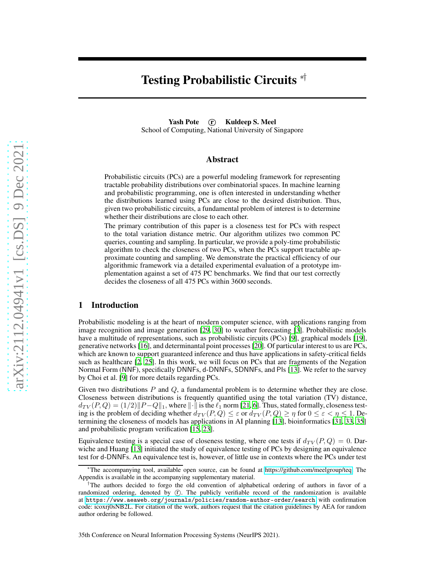# Testing Probabilistic Circuits <sup>\*†</sup>

Yash Pote (r) Kuldeep S. Meel School of Computing, National University of Singapore

## Abstract

Probabilistic circuits (PCs) are a powerful modeling framework for representing tractable probability distributions over combinatorial spaces. In machine learning and probabilistic programming, one is often interested in understanding whether the distributions learned using PCs are close to the desired distribution. Thus, given two probabilistic circuits, a fundamental problem of interest is to determine whether their distributions are close to each other.

The primary contribution of this paper is a closeness test for PCs with respect to the total variation distance metric. Our algorithm utilizes two common PC queries, counting and sampling. In particular, we provide a poly-time probabilistic algorithm to check the closeness of two PCs, when the PCs support tractable approximate counting and sampling. We demonstrate the practical efficiency of our algorithmic framework via a detailed experimental evaluation of a prototype implementation against a set of 475 PC benchmarks. We find that our test correctly decides the closeness of all 475 PCs within 3600 seconds.

### 1 Introduction

Probabilistic modeling is at the heart of modern computer science, with applications ranging from image recognition and image generation [\[29](#page-11-0), [30](#page-11-1)] to weather forecasting [\[3\]](#page-10-0). Probabilistic models have a multitude of representations, such as probabilistic circuits (PCs) [\[9\]](#page-10-1), graphical models [\[19\]](#page-10-2), generative networks [\[16\]](#page-10-3), and determinantal point processes [\[20\]](#page-10-4). Of particular interest to us are PCs, which are known to support guaranteed inference and thus have applications in safety-critical fields such as healthcare [\[2,](#page-10-5) [25](#page-11-2)]. In this work, we will focus on PCs that are fragments of the Negation Normal Form (NNF), specifically DNNFs, d-DNNFs, SDNNFs, and PIs [\[13](#page-10-6)]. We refer to the survey by Choi et al. [\[9\]](#page-10-1) for more details regarding PCs.

Given two distributions  $P$  and  $Q$ , a fundamental problem is to determine whether they are close. Closeness between distributions is frequently quantified using the total variation (TV) distance,  $d_{TV}(P,Q) = (1/2) \|P-Q\|_1$ , where  $\|\cdot\|$  is the  $\ell_1$  norm [\[21,](#page-10-7) [6](#page-10-8)]. Thus, stated formally, closeness testing is the problem of deciding whether  $d_{TV}(P,Q) \leq \varepsilon$  or  $d_{TV}(P,Q) \geq \eta$  for  $0 \leq \varepsilon < \eta \leq 1$ . Determining the closeness of models has applications in AI planning [\[13\]](#page-10-6), bioinformatics [\[31,](#page-11-3) [33,](#page-11-4) [35\]](#page-11-5) and probabilistic program verification [\[15,](#page-10-9) [23](#page-11-6)].

Equivalence testing is a special case of closeness testing, where one tests if  $d_{TV}(P,Q) = 0$ . Darwiche and Huang [\[13](#page-10-6)] initiated the study of equivalence testing of PCs by designing an equivalence test for d-DNNFs. An equivalence test is, however, of little use in contexts where the PCs under test

<sup>∗</sup>The accompanying tool, available open source, can be found at [https://github.com/meelgroup/teq.](https://github.com/meelgroup/barbarik) The Appendix is available in the accompanying supplementary material.

<sup>&</sup>lt;sup>†</sup>The authors decided to forgo the old convention of alphabetical ordering of authors in favor of a randomized ordering, denoted by  $(F)$ . The publicly verifiable record of the randomization is available at <https://www.aeaweb.org/journals/policies/random-author-order/search> with confirmation code: icoxrj0sNB2L. For citation of the work, authors request that the citation guidelines by AEA for random author ordering be followed.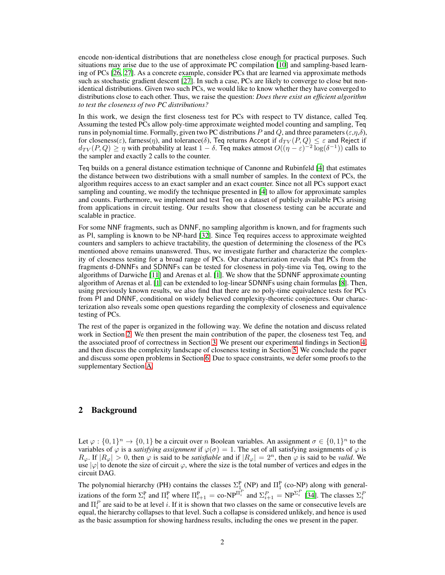encode non-identical distributions that are nonetheless close enough for practical purposes. Such situations may arise due to the use of approximate PC compilation [\[10](#page-10-10)] and sampling-based learning of PCs [\[26,](#page-11-7) [27\]](#page-11-8). As a concrete example, consider PCs that are learned via approximate methods such as stochastic gradient descent [\[27\]](#page-11-8). In such a case, PCs are likely to converge to close but nonidentical distributions. Given two such PCs, we would like to know whether they have converged to distributions close to each other. Thus, we raise the question: *Does there exist an efficient algorithm to test the closeness of two PC distributions?*

In this work, we design the first closeness test for PCs with respect to TV distance, called Teq. Assuming the tested PCs allow poly-time approximate weighted model counting and sampling, Teq runs in polynomial time. Formally, given two PC distributions P and Q, and three parameters ( $\varepsilon$ , $\eta$ , $\delta$ ), for closeness( $\varepsilon$ ), farness( $\eta$ ), and tolerance( $\delta$ ), Teq returns Accept if  $d_{TV}(P,Q) \leq \varepsilon$  and Reject if  $d_{TV}(P,Q) \ge \eta$  with probability at least  $1 - \delta$ . Teq makes atmost  $O((\eta - \varepsilon)^{-2} \log(\delta^{-1}))$  calls to the sampler and exactly 2 calls to the counter.

Teq builds on a general distance estimation technique of Canonne and Rubinfeld [\[4](#page-10-11)] that estimates the distance between two distributions with a small number of samples. In the context of PCs, the algorithm requires access to an exact sampler and an exact counter. Since not all PCs support exact sampling and counting, we modify the technique presented in [\[4\]](#page-10-11) to allow for approximate samples and counts. Furthermore, we implement and test Teq on a dataset of publicly available PCs arising from applications in circuit testing. Our results show that closeness testing can be accurate and scalable in practice.

For some NNF fragments, such as DNNF, no sampling algorithm is known, and for fragments such as PI, sampling is known to be NP-hard [\[32](#page-11-9)]. Since Teq requires access to approximate weighted counters and samplers to achieve tractability, the question of determining the closeness of the PCs mentioned above remains unanswered. Thus, we investigate further and characterize the complexity of closeness testing for a broad range of PCs. Our characterization reveals that PCs from the fragments d-DNNFs and SDNNFs can be tested for closeness in poly-time via Teq, owing to the algorithms of Darwiche [\[11\]](#page-10-12) and Arenas et al. [\[1](#page-10-13)]. We show that the SDNNF approximate counting algorithm of Arenas et al. [\[1\]](#page-10-13) can be extended to log-linear SDNNFs using chain formulas [\[8](#page-10-14)]. Then, using previously known results, we also find that there are no poly-time equivalence tests for PCs from PI and DNNF, conditional on widely believed complexity-theoretic conjectures. Our characterization also reveals some open questions regarding the complexity of closeness and equivalence testing of PCs.

The rest of the paper is organized in the following way. We define the notation and discuss related work in Section [2.](#page-1-0) We then present the main contribution of the paper, the closeness test Teq, and the associated proof of correctness in Section [3.](#page-3-0) We present our experimental findings in Section [4,](#page-6-0) and then discuss the complexity landscape of closeness testing in Section [5.](#page-7-0) We conclude the paper and discuss some open problems in Section [6.](#page-8-0) Due to space constraints, we defer some proofs to the supplementary Section [A.](#page-12-0)

# <span id="page-1-0"></span>2 Background

Let  $\varphi: \{0,1\}^n \to \{0,1\}$  be a circuit over n Boolean variables. An assignment  $\sigma \in \{0,1\}^n$  to the variables of  $\varphi$  is a *satisfying assignment* if  $\varphi(\sigma) = 1$ . The set of all satisfying assignments of  $\varphi$  is  $R_\varphi$ . If  $|R_\varphi| > 0$ , then  $\varphi$  is said to be *satisfiable* and if  $|R_\varphi| = 2^n$ , then  $\varphi$  is said to be *valid*. We use  $|\varphi|$  to denote the size of circuit  $\varphi$ , where the size is the total number of vertices and edges in the circuit DAG.

The polynomial hierarchy (PH) contains the classes  $\Sigma_1^P$  (NP) and  $\Pi_1^P$  (co-NP) along with generalizations of the form  $\Sigma_i^{\text{P}}$  and  $\Pi_i^{\text{P}}$  where  $\Pi_{i+1}^{\text{P}} = \text{co-NP}^{\Pi_i^P}$  and  $\Sigma_{i+1}^P = \text{NP}^{\Sigma_i^P}$  [\[34\]](#page-11-10). The classes  $\Sigma_i^P$ and  $\Pi_i^P$  are said to be at level i. If it is shown that two classes on the same or consecutive levels are equal, the hierarchy collapses to that level. Such a collapse is considered unlikely, and hence is used as the basic assumption for showing hardness results, including the ones we present in the paper.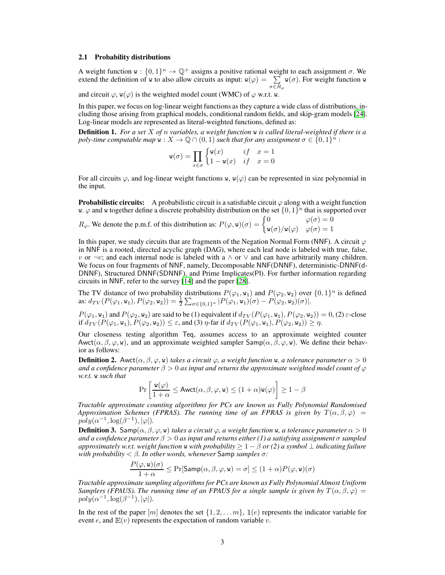#### 2.1 Probability distributions

A weight function  $w : \{0,1\}^n \to \mathbb{Q}^+$  assigns a positive rational weight to each assignment  $\sigma$ . We extend the definition of w to also allow circuits as input:  $w(\varphi) = \sum w(\sigma)$ . For weight function w  $\sigma{\in}R_\varphi$  $w(\sigma)$ . For weight function w

and circuit  $\varphi$ ,  $w(\varphi)$  is the weighted model count (WMC) of  $\varphi$  w.r.t. w.

In this paper, we focus on log-linear weight functions as they capture a wide class of distributions, including those arising from graphical models, conditional random fields, and skip-gram models [\[24\]](#page-11-11). Log-linear models are represented as literal-weighted functions, defined as:

Definition 1. *For a set* X *of* n *variables, a weight function* w *is called literal-weighted if there is a poly-time computable map*  $\mathbf{w}: X \to \mathbb{Q} \cap (0,1)$  *such that for any assignment*  $\sigma \in \{0,1\}^n$  :

$$
\mathbf{w}(\sigma) = \prod_{x \in \sigma} \begin{cases} \mathbf{w}(x) & if \quad x = 1 \\ 1 - \mathbf{w}(x) & if \quad x = 0 \end{cases}
$$

For all circuits  $\varphi$ , and log-linear weight functions w, w( $\varphi$ ) can be represented in size polynomial in the input.

**Probabilistic circuits:** A probabilistic circuit is a satisfiable circuit  $\varphi$  along with a weight function w.  $\varphi$  and w together define a discrete probability distribution on the set  $\{0, 1\}^n$  that is supported over

$$
R_{\varphi}.
$$
 We denote the p.m.f. of this distribution as:  $P(\varphi, \mathbf{w})(\sigma) = \begin{cases} 0 & \varphi(\sigma) = 0 \\ \mathbf{w}(\sigma)/\mathbf{w}(\varphi) & \varphi(\sigma) = 1 \end{cases}$ 

In this paper, we study circuits that are fragments of the Negation Normal Form (NNF). A circuit  $\varphi$ in NNF is a rooted, directed acyclic graph (DAG), where each leaf node is labeled with true, false, v or  $\neg v$ ; and each internal node is labeled with a  $\land$  or  $\lor$  and can have arbitrarily many children. We focus on four fragments of NNF, namely, Decomposable NNF(DNNF), deterministic-DNNF(d-DNNF), Structured DNNF(SDNNF), and Prime Implicates(PI). For further information regarding circuits in NNF, refer to the survey [\[14](#page-10-15)] and the paper [\[28\]](#page-11-12).

The TV distance of two probability distributions  $P(\varphi_1, w_1)$  and  $P(\varphi_2, w_2)$  over  $\{0, 1\}^n$  is defined as:  $d_{TV}(P(\varphi_1, \mathbf{w}_1), P(\varphi_2, \mathbf{w}_2)) = \frac{1}{2} \sum_{\sigma \in \{0,1\}^n} |P(\varphi_1, \mathbf{w}_1)(\sigma) - P(\varphi_2, \mathbf{w}_2)(\sigma)|.$ 

 $P(\varphi_1, w_1)$  and  $P(\varphi_2, w_2)$  are said to be (1) equivalent if  $d_{TV}(P(\varphi_1, w_1), P(\varphi_2, w_2)) = 0$ , (2)  $\varepsilon$ -close if  $d_{TV}$   $(\overline{P}(\varphi_1, w_1), \overline{P}(\varphi_2, w_2)) \leq \varepsilon$ , and (3)  $\eta$ -far if  $d_{TV}$   $(\overline{P(\varphi_1, w_1)}, \overline{P(\varphi_2, w_2)}) \geq \eta$ .

Our closeness testing algorithm Teq, assumes access to an approximate weighted counter Awct $(\alpha, \beta, \varphi, \mathbf{w})$ , and an approximate weighted sampler Samp $(\alpha, \beta, \varphi, \mathbf{w})$ . We define their behavior as follows:

<span id="page-2-1"></span>**Definition 2.** Awct $(\alpha, \beta, \varphi, \mathbf{w})$  *takes a circuit*  $\varphi$ , a weight function **w**, a tolerance parameter  $\alpha > 0$ *and a confidence parameter*  $\beta > 0$  *as input and returns the approximate weighted model count of*  $\varphi$ *w.r.t.* w *such that*

$$
\Pr\left[\frac{\mathtt{w}(\varphi)}{1+\alpha} \leq \mathsf{Awct}(\alpha,\beta,\varphi,\mathtt{w}) \leq (1+\alpha)\mathtt{w}(\varphi)\right] \geq 1-\beta
$$

*Tractable approximate counting algorithms for PCs are known as Fully Polynomial Randomised Approximation Schemes (FPRAS). The running time of an FPRAS is given by*  $T(\alpha, \beta, \varphi)$  =  $poly(\alpha^{-1}, \log(\beta^{-1}), |\varphi|).$ 

<span id="page-2-0"></span>**Definition 3.** Samp $(\alpha, \beta, \varphi, \mathbf{w})$  *takes a circuit*  $\varphi$ , *a weight function* w, *a tolerance parameter*  $\alpha > 0$ *and a confidence parameter*  $\beta > 0$  *as input and returns either (1) a satisfying assignment*  $\sigma$  *sampled approximately w.r.t. weight function* <sup>w</sup> *with probability* <sup>≥</sup> <sup>1</sup> <sup>−</sup> <sup>β</sup> *or (2) a symbol* <sup>⊥</sup> *indicating failure with probability* < β*. In other words, whenever* Samp *samples* σ*:*

$$
\frac{P(\varphi, \mathbf{w})(\sigma)}{1 + \alpha} \le \Pr[\mathsf{Samp}(\alpha, \beta, \varphi, \mathbf{w}) = \sigma] \le (1 + \alpha)P(\varphi, \mathbf{w})(\sigma)
$$

*Tractable approximate sampling algorithms for PCs are known as Fully Polynomial Almost Uniform Samplers (FPAUS). The running time of an FPAUS for a single sample is given by*  $T(\alpha, \beta, \varphi) =$  $poly(\alpha^{-1}, \log(\beta^{-1}), |\varphi|).$ 

In the rest of the paper  $[m]$  denotes the set  $\{1, 2, \ldots, m\}$ ,  $\mathbb{I}(e)$  represents the indicator variable for event e, and  $E(v)$  represents the expectation of random variable v.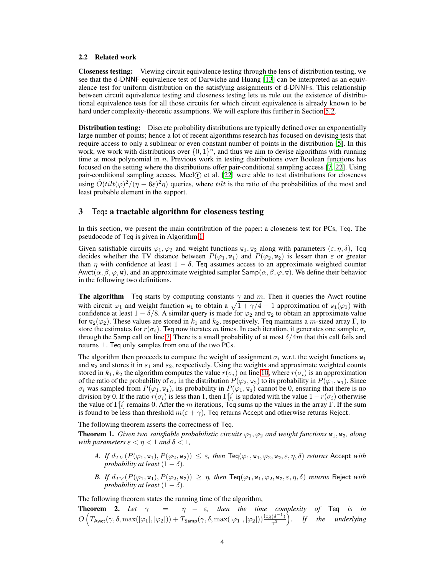#### 2.2 Related work

Closeness testing: Viewing circuit equivalence testing through the lens of distribution testing, we see that the d-DNNF equivalence test of Darwiche and Huang [\[13](#page-10-6)] can be interpreted as an equivalence test for uniform distribution on the satisfying assignments of d-DNNFs. This relationship between circuit equivalence testing and closeness testing lets us rule out the existence of distributional equivalence tests for all those circuits for which circuit equivalence is already known to be hard under complexity-theoretic assumptions. We will explore this further in Section [5.2.](#page-8-1)

Distribution testing: Discrete probability distributions are typically defined over an exponentially large number of points; hence a lot of recent algorithms research has focused on devising tests that require access to only a sublinear or even constant number of points in the distribution [\[5\]](#page-10-16). In this work, we work with distributions over  $\{0, 1\}^n$ , and thus we aim to devise algorithms with running time at most polynomial in  $n$ . Previous work in testing distributions over Boolean functions has focused on the setting where the distributions offer pair-conditional sampling access [\[7,](#page-10-17) [22\]](#page-10-18). Using pair-conditional sampling access, Meel $(F)$  et al.  $[22]$  were able to test distributions for closeness using  $\tilde{O}(tilt(\phi)^2/(\eta - 6\varepsilon)^2 \eta)$  queries, where *tilt* is the ratio of the probabilities of the most and least probable element in the support.

### <span id="page-3-0"></span>3 Teq: a tractable algorithm for closeness testing

In this section, we present the main contribution of the paper: a closeness test for PCs, Teq. The pseudocode of Teq is given in Algorithm [1.](#page-4-0)

Given satisfiable circuits  $\varphi_1, \varphi_2$  and weight functions  $w_1, w_2$  along with parameters  $(\varepsilon, \eta, \delta)$ , Teq decides whether the TV distance between  $P(\varphi_1, \mathbf{w}_1)$  and  $P(\varphi_2, \mathbf{w}_2)$  is lesser than  $\varepsilon$  or greater than  $\eta$  with confidence at least  $1 - \delta$ . Teq assumes access to an approximate weighted counter Awct( $\alpha, \beta, \varphi, w$ ), and an approximate weighted sampler Samp( $\alpha, \beta, \varphi, w$ ). We define their behavior in the following two definitions.

**The algorithm** Teq starts by computing constants  $\gamma$  and m. Then it queries the Awct routine with circuit  $\varphi_1$  and weight function  $w_1$  to obtain a  $\sqrt{1 + \gamma/4} - 1$  approximation of  $w_1(\varphi_1)$  with confidence at least  $1 - \delta/8$ . A similar query is made for  $\varphi_2$  and  $w_2$  to obtain an approximate value for  $w_2(\varphi_2)$ . These values are stored in  $k_1$  and  $k_2$ , respectively. Teq maintains a m-sized array Γ, to store the estimates for  $r(\sigma_i)$ . Teq now iterates m times. In each iteration, it generates one sample  $\sigma_i$ through the Samp call on line [7.](#page-4-1) There is a small probability of at most  $\delta/4m$  that this call fails and returns  $\perp$ . Teq only samples from one of the two PCs.

The algorithm then proceeds to compute the weight of assignment  $\sigma_i$  w.r.t. the weight functions  $w_1$ and  $w_2$  and stores it in  $s_1$  and  $s_2$ , respectively. Using the weights and approximate weighted counts stored in  $k_1, k_2$  the algorithm computes the value  $r(\sigma_i)$  on line [10,](#page-4-2) where  $r(\sigma_i)$  is an approximation of the ratio of the probability of  $\sigma_i$  in the distribution  $P(\varphi_2, w_2)$  to its probability in  $P(\varphi_1, w_1)$ . Since  $\sigma_i$  was sampled from  $P(\varphi_1, w_1)$ , its probability in  $P(\varphi_1, w_1)$  cannot be 0, ensuring that there is no division by 0. If the ratio  $r(\sigma_i)$  is less than 1, then Γ[i] is updated with the value  $1 - r(\sigma_i)$  otherwise the value of Γ[i] remains 0. After the m iterations, Teq sums up the values in the array Γ. If the sum is found to be less than threshold  $m(\varepsilon + \gamma)$ , Teq returns Accept and otherwise returns Reject.

The following theorem asserts the correctness of Teq.

<span id="page-3-1"></span>**Theorem 1.** *Given two satisfiable probabilistic circuits*  $\varphi_1, \varphi_2$  *and weight functions*  $w_1, w_2$ *, along with parameters*  $\varepsilon < \eta < 1$  *and*  $\delta < 1$ *,* 

- *A. If*  $d_{TV}(P(\varphi_1, w_1), P(\varphi_2, w_2)) \leq \varepsilon$ , then  $\text{Teq}(\varphi_1, w_1, \varphi_2, w_2, \varepsilon, \eta, \delta)$  *returns* Accept *with probability at least*  $(1 - \delta)$ *.*
- *B.* If  $d_{TV}(P(\varphi_1, w_1), P(\varphi_2, w_2)) \geq \eta$ , then  $\text{Teq}(\varphi_1, w_1, \varphi_2, w_2, \varepsilon, \eta, \delta)$  *returns* Reject *with probability at least*  $(1 - \delta)$ *.*

The following theorem states the running time of the algorithm,

<span id="page-3-2"></span>**Theorem 2.** Let  $\gamma = \eta - \varepsilon$ , then the time complexity of Teq is in  $O\left(T_{\mathsf{Awct}}(\gamma,\delta,\max(|\varphi_1|,|\varphi_2|))+T_{\mathsf{Samp}}(\gamma,\delta,\max(|\varphi_1|,|\varphi_2|))\frac{\log(\delta^{-1})}{\gamma^2}\right)$ . If the underlying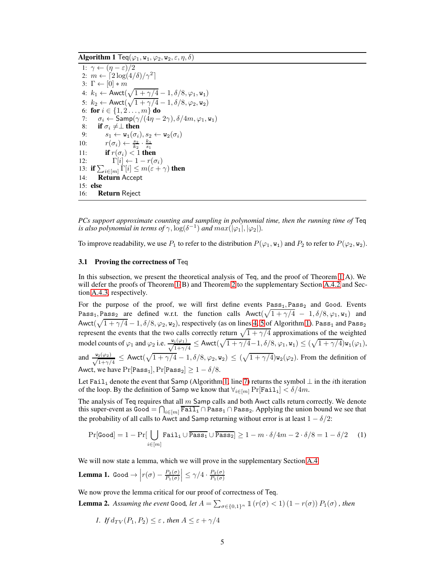<span id="page-4-0"></span>Algorithm 1 Teq $(\varphi_1,\mathtt{w}_1,\varphi_2,\mathtt{w}_2,\varepsilon,\eta,\delta)$ 

<span id="page-4-6"></span><span id="page-4-4"></span><span id="page-4-3"></span><span id="page-4-2"></span><span id="page-4-1"></span>1:  $\gamma \leftarrow (\eta - \varepsilon)/2$ 2:  $m \leftarrow \left[2\log(4/\delta)/\gamma^2\right]$ 3:  $\Gamma \leftarrow [0] * m$ 4:  $k_1 \leftarrow \text{Awct}(\sqrt{1 + \gamma/4} - 1, \delta/8, \varphi_1, \mathbf{w_1})$ 5:  $k_2 \leftarrow \text{Awct}(\sqrt{1 + \gamma/4} - 1, \delta/8, \varphi_2, w_2)$ 6: for  $i \in \{1, 2 \ldots, m\}$  do 7:  $\sigma_i \leftarrow \text{Samp}(\gamma/(\hat{4}\eta - 2\gamma), \delta/4m, \varphi_1, \mathbf{w}_1)$ <br>8: **if**  $\sigma_i \neq \perp$  **then** 8: **if**  $\sigma_i \neq \perp$  then<br>9:  $s_1 \leftarrow w_1(\sigma_i)$ 9:  $s_1 \leftarrow \mathbf{w}_1(\sigma_i), s_2 \leftarrow \mathbf{w}_2(\sigma_i)$ 10:  $r(\sigma_i) \leftarrow \frac{s_2}{k_2} \cdot \frac{k_1}{s_1}$ <br>11: **if**  $r(\sigma_i) < 1$  **then** 12:  $\Gamma[i] \leftarrow 1 - r(\sigma_i)$ 13: if  $\sum_{i \in [m]} \Gamma[i] \leq m(\varepsilon + \gamma)$  then 14: Return Accept 15: else 16: Return Reject

<span id="page-4-8"></span>*PCs support approximate counting and sampling in polynomial time, then the running time of* Teq *is also polynomial in terms of*  $\gamma$ ,  $\log(\delta^{-1})$  *and*  $max(|\varphi_1|, |\varphi_2|)$ *.* 

To improve readability, we use  $P_1$  to refer to the distribution  $P(\varphi_1, \mathbf{w}_1)$  and  $P_2$  to refer to  $P(\varphi_2, \mathbf{w}_2)$ .

#### 3.1 Proving the correctness of Teq

In this subsection, we present the theoretical analysis of Teq, and the proof of Theorem [1\(](#page-3-1)A). We will defer the proofs of Theorem [1\(](#page-3-1)B) and Theorem [2](#page-3-2) to the supplementary Section [A.4.2](#page-15-0) and Section [A.4.3,](#page-16-0) respectively.

For the purpose of the proof, we will first define events  $Pass<sub>1</sub>, Pass<sub>2</sub>$  and Good. Events Pass<sub>1</sub>, Pass<sub>2</sub> are defined w.r.t. the function calls  $Awct(\sqrt{1+\gamma/4} - 1, \delta/8, \varphi_1, w_1)$  and Awct( $\sqrt{1 + \gamma/4} - 1$ ,  $\delta/8$ ,  $\varphi_2$ ,  $w_2$ ), respectively (as on lines [4,](#page-4-3) [5](#page-4-4) of Algorithm [1\)](#page-4-0). Pass<sub>1</sub> and Pass<sub>2</sub> represent the events that the two calls correctly return  $\sqrt{1 + \gamma/4}$  approximations of the weighted model counts of  $\varphi_1$  and  $\varphi_2$  i.e.  $\frac{\mathbf{w}_1(\varphi_1)}{\sqrt{1+\gamma/4}} \leq \text{Awct}(\sqrt{1+\gamma/4}-1, \delta/8, \varphi_1, \mathbf{w}_1) \leq (\sqrt{1+\gamma/4})\mathbf{w}_1(\varphi_1)$ , and  $\frac{\mathbf{w}_2(\varphi_2)}{\sqrt{1+\gamma/4}} \leq$  Awct $(\sqrt{1+\gamma/4} - 1, \delta/8, \varphi_2, \mathbf{w}_2) \leq (\sqrt{1+\gamma/4})\mathbf{w}_2(\varphi_2)$ . From the definition of Awct, we have  $Pr[Pass_1], Pr[Pass_2] \ge 1 - \delta/8$ .

Let Fail<sub>i</sub> denote the event that Samp (Algorithm [1,](#page-4-0) line [7\)](#page-4-1) returns the symbol  $\perp$  in the *i*th iteration of the loop. By the definition of Samp we know that  $\forall_{i\in[m]} \Pr[\texttt{Fail}_i] < \delta/4m$ .

The analysis of Teq requires that all  $m$  Samp calls and both Awct calls return correctly. We denote this super-event as  $Good = \bigcap_{i \in [m]} \overline{Fall}_i \cap Pass_1 \cap Pass_2$ . Applying the union bound we see that the probability of all calls to Awct and Samp returning without error is at least  $1 - \delta/2$ :

<span id="page-4-9"></span>
$$
\Pr[\text{Good}] = 1 - \Pr[\bigcup_{i \in [m]} \text{Tail}_i \cup \overline{\text{Pass}_1} \cup \overline{\text{Pass}_2}] \ge 1 - m \cdot \delta / 4m - 2 \cdot \delta / 8 = 1 - \delta / 2 \quad (1)
$$

We will now state a lemma, which we will prove in the supplementary Section [A.4.](#page-15-1)

<span id="page-4-5"></span>**Lemma 1.** Good  $\rightarrow \left| r(\sigma) - \frac{P_2(\sigma)}{P_1(\sigma)} \right|$  $P_1(\sigma)$  $\left| \leq \gamma/4 \cdot \frac{P_2(\sigma)}{P_1(\sigma)} \right|$  $P_1(\sigma)$ 

We now prove the lemma critical for our proof of correctness of Teq.

<span id="page-4-7"></span>**Lemma 2.** Assuming the event Good, let  $A = \sum_{\sigma \in \{0,1\}^n} \mathbb{1} (r(\sigma) < 1) (1 - r(\sigma)) P_1(\sigma)$ , then

*1.* If  $d_{TV}(P_1, P_2) \leq \varepsilon$ , then  $A \leq \varepsilon + \gamma/4$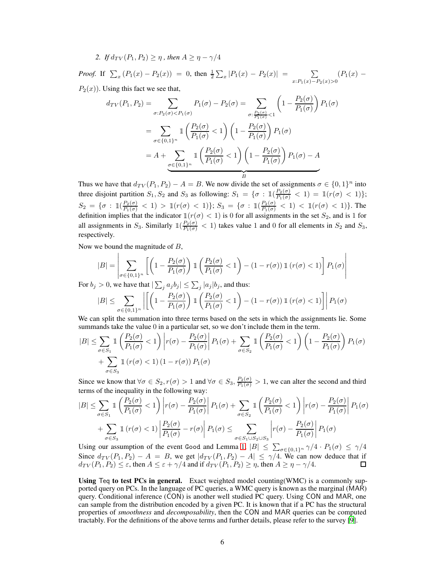2. If  $d_{TV}(P_1, P_2) \geq \eta$ , then  $A \geq \eta - \gamma/4$ 

*Proof.* If  $\sum_{x} (P_1(x) - P_2(x)) = 0$ , then  $\frac{1}{2} \sum_{x} |P_1(x) - P_2(x)| = \sum_{x}$  $\sum_{x:P_1(x)-P_2(x)>0} (P_1(x) P_2(x)$ ). Using this fact we see that,

$$
d_{TV}(P_1, P_2) = \sum_{\sigma: P_2(\sigma) < P_1(\sigma)} P_1(\sigma) - P_2(\sigma) = \sum_{\sigma: \frac{P_2(\sigma)}{P_1(\sigma)} < 1} \left(1 - \frac{P_2(\sigma)}{P_1(\sigma)}\right) P_1(\sigma)
$$
\n
$$
= \sum_{\sigma \in \{0,1\}^n} \mathbb{1}\left(\frac{P_2(\sigma)}{P_1(\sigma)} < 1\right) \left(1 - \frac{P_2(\sigma)}{P_1(\sigma)}\right) P_1(\sigma)
$$
\n
$$
= A + \sum_{\sigma \in \{0,1\}^n} \mathbb{1}\left(\frac{P_2(\sigma)}{P_1(\sigma)} < 1\right) \left(1 - \frac{P_2(\sigma)}{P_1(\sigma)}\right) P_1(\sigma) - A
$$

Thus we have that  $d_{TV}(P_1, P_2) - A = B$ . We now divide the set of assignments  $\sigma \in \{0, 1\}^n$  into three disjoint partition  $S_1, S_2$  and  $S_3$  as following:  $S_1 = \{ \sigma : \mathbb{1}(\frac{P_2(\sigma)}{P_1(\sigma)} < 1) = \mathbb{1}(r(\sigma) < 1) \};$  $S_2 = \{\sigma : \mathbb{1}(\frac{P_2(\sigma)}{P_1(\sigma)} < 1) > \mathbb{1}(r(\sigma) < 1)\}; S_3 = \{\sigma : \mathbb{1}(\frac{P_2(\sigma)}{P_1(\sigma)} < 1) < \mathbb{1}(r(\sigma) < 1)\}.$  The definition implies that the indicator  $\mathbb{1}(r(\sigma) < 1)$  is 0 for all assignments in the set  $S_2$ , and is 1 for all assignments in  $S_3$ . Similarly  $\mathbb{1}(\frac{P_2(\sigma)}{P_1(\sigma)} < 1)$  takes value 1 and 0 for all elements in  $S_2$  and  $S_3$ , respectively.

Now we bound the magnitude of  $B$ ,

$$
|B| = \left| \sum_{\sigma \in \{0,1\}^n} \left[ \left( 1 - \frac{P_2(\sigma)}{P_1(\sigma)} \right) \mathbbm{1} \left( \frac{P_2(\sigma)}{P_1(\sigma)} < 1 \right) - (1 - r(\sigma)) \mathbbm{1} \left( r(\sigma) < 1 \right) \right] P_1(\sigma) \right|
$$

For  $b_j > 0$ , we have that  $|\sum_j a_j b_j| \leq \sum_j |a_j| b_j$ , and thus:

$$
|B| \leq \sum_{\sigma \in \{0,1\}^n} \left| \left[ \left( 1 - \frac{P_2(\sigma)}{P_1(\sigma)} \right) \mathbb{1} \left( \frac{P_2(\sigma)}{P_1(\sigma)} < 1 \right) - (1 - r(\sigma)) \mathbb{1} \left( r(\sigma) < 1 \right) \right] \right| P_1(\sigma)
$$

We can split the summation into three terms based on the sets in which the assignments lie. Some summands take the value 0 in a particular set, so we don't include them in the term.

$$
|B| \leq \sum_{\sigma \in S_1} \mathbb{1}\left(\frac{P_2(\sigma)}{P_1(\sigma)} < 1\right) \left| r(\sigma) - \frac{P_2(\sigma)}{P_1(\sigma)} \right| P_1(\sigma) + \sum_{\sigma \in S_2} \mathbb{1}\left(\frac{P_2(\sigma)}{P_1(\sigma)} < 1\right) \left(1 - \frac{P_2(\sigma)}{P_1(\sigma)}\right) P_1(\sigma) + \sum_{\sigma \in S_3} \mathbb{1}\left(r(\sigma) < 1\right) \left(1 - r(\sigma)\right) P_1(\sigma)
$$

Since we know that  $\forall \sigma \in S_2$ ,  $r(\sigma) > 1$  and  $\forall \sigma \in S_3$ ,  $\frac{P_2(\sigma)}{P_1(\sigma)} > 1$ , we can alter the second and third terms of the inequality in the following way:

$$
|B| \leq \sum_{\sigma \in S_1} \mathbb{1}\left(\frac{P_2(\sigma)}{P_1(\sigma)} < 1\right) \left| r(\sigma) - \frac{P_2(\sigma)}{P_1(\sigma)} \right| P_1(\sigma) + \sum_{\sigma \in S_2} \mathbb{1}\left(\frac{P_2(\sigma)}{P_1(\sigma)} < 1\right) \left| r(\sigma) - \frac{P_2(\sigma)}{P_1(\sigma)} \right| P_1(\sigma) \\ + \sum_{\sigma \in S_3} \mathbb{1}\left(r(\sigma) < 1\right) \left| \frac{P_2(\sigma)}{P_1(\sigma)} - r(\sigma) \right| P_1(\sigma) \leq \sum_{\sigma \in S_1 \cup S_2 \cup S_3} \left| r(\sigma) - \frac{P_2(\sigma)}{P_1(\sigma)} \right| P_1(\sigma)
$$

Using our assumption of the event Good and Lemma [1,](#page-4-5)  $|B| \leq \sum_{\sigma \in \{0,1\}^n} \gamma/4 \cdot P_1(\sigma) \leq \gamma/4$ Since  $d_{TV}(P_1, P_2) - A = B$ , we get  $|d_{TV}(P_1, P_2) - A| \le \gamma/4$ . We can now deduce that if  $d_{TV}(P_1, P_2) \leq \varepsilon$ , then  $A \leq \varepsilon + \gamma/4$  and if  $d_{TV}(P_1, P_2) \geq \eta$ , then  $A \geq \eta - \gamma/4$ .

Using Teq to test PCs in general. Exact weighted model counting  $(WMC)$  is a commonly supported query on PCs. In the language of PC queries, a WMC query is known as the marginal (MAR) query. Conditional inference (CON) is another well studied PC query. Using CON and MAR, one can sample from the distribution encoded by a given PC. It is known that if a PC has the structural properties of *smoothness* and *decomposability*, then the CON and MAR queries can be computed tractably. For the definitions of the above terms and further details, please refer to the survey [\[9\]](#page-10-1).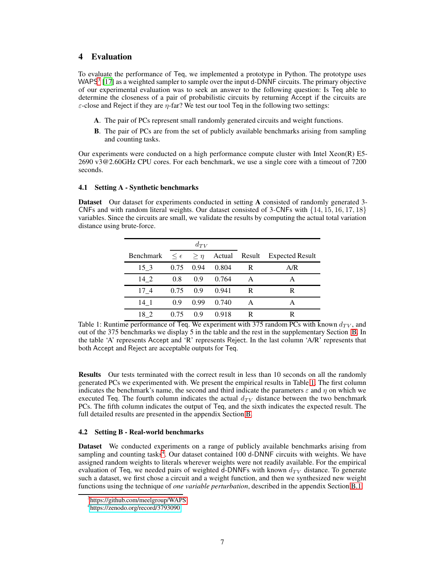# <span id="page-6-0"></span>4 Evaluation

To evaluate the performance of Teq, we implemented a prototype in Python. The prototype uses WAPS<sup>[3](#page-6-1)</sup> [\[17\]](#page-10-19) as a weighted sampler to sample over the input d-DNNF circuits. The primary objective of our experimental evaluation was to seek an answer to the following question: Is Teq able to determine the closeness of a pair of probabilistic circuits by returning Accept if the circuits are  $\varepsilon$ -close and Reject if they are  $\eta$ -far? We test our tool Teq in the following two settings:

- A. The pair of PCs represent small randomly generated circuits and weight functions.
- B. The pair of PCs are from the set of publicly available benchmarks arising from sampling and counting tasks.

Our experiments were conducted on a high performance compute cluster with Intel Xeon(R) E5- 2690 v3@2.60GHz CPU cores. For each benchmark, we use a single core with a timeout of 7200 seconds.

### 4.1 Setting A - Synthetic benchmarks

Dataset Our dataset for experiments conducted in setting A consisted of randomly generated 3-CNFs and with random literal weights. Our dataset consisted of 3-CNFs with {14, 15, 16, 17, 18} variables. Since the circuits are small, we validate the results by computing the actual total variation distance using brute-force.

|           | $d_{TV}$ |                                 |        |        |                        |
|-----------|----------|---------------------------------|--------|--------|------------------------|
| Benchmark |          | $\leq \epsilon \quad \geq \eta$ | Actual | Result | <b>Expected Result</b> |
| 15 3      | 0.75     | 0.94                            | 0.804  | R      | A/R                    |
| 14 2      | 0.8      | 0.9                             | 0.764  | А      | А                      |
| 174       | 0.75     | 0.9                             | 0.941  | R      | R                      |
| 14 1      | 0.9      | 0.99                            | 0.740  | A      | А                      |
| 18 2      | 0.75     | 0.9                             | 0.918  | R      | R                      |

<span id="page-6-2"></span>Table 1: Runtime performance of Teq. We experiment with 375 random PCs with known  $d_{TV}$ , and out of the 375 benchmarks we display 5 in the table and the rest in the supplementary Section [B.](#page-18-0) In the table 'A' represents Accept and 'R' represents Reject. In the last column 'A/R' represents that both Accept and Reject are acceptable outputs for Teq.

Results Our tests terminated with the correct result in less than 10 seconds on all the randomly generated PCs we experimented with. We present the empirical results in Table [1.](#page-6-2) The first column indicates the benchmark's name, the second and third indicate the parameters  $\varepsilon$  and  $\eta$  on which we executed Teq. The fourth column indicates the actual  $d_{TV}$  distance between the two benchmark PCs. The fifth column indicates the output of Teq, and the sixth indicates the expected result. The full detailed results are presented in the appendix Section [B.](#page-18-0)

# 4.2 Setting B - Real-world benchmarks

Dataset We conducted experiments on a range of publicly available benchmarks arising from sampling and counting tasks $4$ . Our dataset contained 100 d-DNNF circuits with weights. We have assigned random weights to literals wherever weights were not readily available. For the empirical evaluation of Teq, we needed pairs of weighted d-DNNFs with known  $d_{TV}$  distance. To generate such a dataset, we first chose a circuit and a weight function, and then we synthesized new weight functions using the technique of *one variable perturbation*, described in the appendix Section [B.1.](#page-18-1)

<sup>3</sup> https://github.com/meelgroup/WAPS

<span id="page-6-3"></span><span id="page-6-1"></span><sup>4</sup> <https://zenodo.org/record/3793090>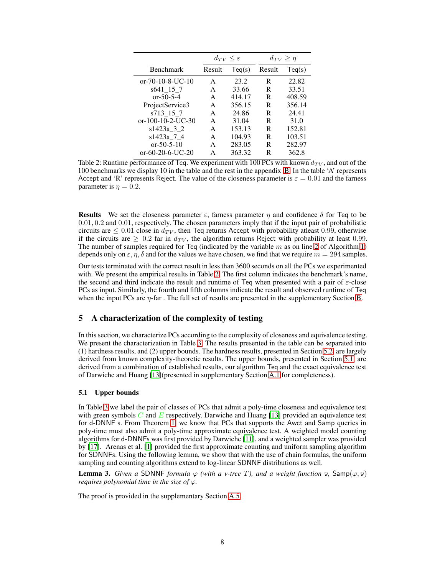|                             |        | $d_{TV} < \varepsilon$ |        | $d_{TV} \geq \eta$ |
|-----------------------------|--------|------------------------|--------|--------------------|
| <b>Benchmark</b>            | Result | Teq(s)                 | Result | Teq(s)             |
| $or -70 - 10 - 8 - UC - 10$ | A      | 23.2                   | R      | 22.82              |
| s641 15 7                   | A      | 33.66                  | R      | 33.51              |
| $or -50 - 5 - 4$            | A      | 414.17                 | R      | 408.59             |
| ProjectService3             | A      | 356.15                 | R      | 356.14             |
| s713 15 7                   | A      | 24.86                  | R      | 24.41              |
| or- $100-10-2$ -UC-30       | A      | 31.04                  | R      | 31.0               |
| s1423a 3 2                  | A      | 153.13                 | R      | 152.81             |
| s1423a_7_4                  | A      | 104.93                 | R      | 103.51             |
| $or -50 - 5 - 10$           | A      | 283.05                 | R      | 282.97             |
| $or-60-20-6-UC-20$          | А      | 363.32                 | R      | 362.8              |

<span id="page-7-1"></span>Table 2: Runtime performance of Teq. We experiment with 100 PCs with known  $d_{TV}$ , and out of the 100 benchmarks we display 10 in the table and the rest in the appendix [B.](#page-18-0) In the table 'A' represents Accept and 'R' represents Reject. The value of the closeness parameter is  $\varepsilon = 0.01$  and the farness parameter is  $\eta = 0.2$ .

**Results** We set the closeness parameter  $\varepsilon$ , farness parameter  $\eta$  and confidence  $\delta$  for Teq to be 0.01, 0.2 and 0.01, respectively. The chosen parameters imply that if the input pair of probabilistic circuits are  $\leq 0.01$  close in  $d_{TV}$ , then Teq returns Accept with probability atleast 0.99, otherwise if the circuits are  $\geq 0.2$  far in  $d_{TV}$ , the algorithm returns Reject with probability at least 0.99. The number of samples required for Teq (indicated by the variable  $m$  as on line [2](#page-4-6) of Algorithm [1\)](#page-4-0) depends only on  $\varepsilon$ ,  $\eta$ ,  $\delta$  and for the values we have chosen, we find that we require  $m = 294$  samples.

Our tests terminated with the correct result in less than 3600 seconds on all the PCs we experimented with. We present the empirical results in Table [2.](#page-7-1) The first column indicates the benchmark's name, the second and third indicate the result and runtime of Teq when presented with a pair of  $\varepsilon$ -close PCs as input. Similarly, the fourth and fifth columns indicate the result and observed runtime of Teq when the input PCs are  $\eta$ -far. The full set of results are presented in the supplementary Section [B.](#page-18-0)

# <span id="page-7-0"></span>5 A characterization of the complexity of testing

In this section, we characterize PCs according to the complexity of closeness and equivalence testing. We present the characterization in Table [3.](#page-8-2) The results presented in the table can be separated into (1) hardness results, and (2) upper bounds. The hardness results, presented in Section [5.2,](#page-8-1) are largely derived from known complexity-theoretic results. The upper bounds, presented in Section [5.1,](#page-7-2) are derived from a combination of established results, our algorithm Teq and the exact equivalence test of Darwiche and Huang [\[13](#page-10-6)](presented in supplementary Section [A.1](#page-12-1) for completeness).

### <span id="page-7-2"></span>5.1 Upper bounds

In Table [3](#page-8-2) we label the pair of classes of PCs that admit a poly-time closeness and equivalence test with green symbols  $C$  and  $E$  respectively. Darwiche and Huang [\[13](#page-10-6)] provided an equivalence test for d-DNNF s. From Theorem [1,](#page-3-1) we know that PCs that supports the Awct and Samp queries in poly-time must also admit a poly-time approximate equivalence test. A weighted model counting algorithms for d-DNNFs was first provided by Darwiche [\[11\]](#page-10-12), and a weighted sampler was provided by [\[17\]](#page-10-19). Arenas et al. [\[1\]](#page-10-13) provided the first approximate counting and uniform sampling algorithm for SDNNFs. Using the following lemma, we show that with the use of chain formulas, the uniform sampling and counting algorithms extend to log-linear SDNNF distributions as well.

**Lemma 3.** *Given a* SDNNF *formula*  $\varphi$  *(with a v-tree T), and a weight function* w, Samp $(\varphi, \mathbf{w})$ *requires polynomial time in the size of*  $\varphi$ *.* 

The proof is provided in the supplementary Section [A.5.](#page-17-0)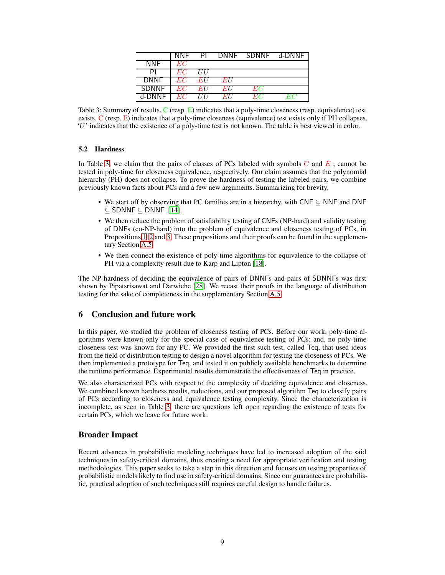|             | <b>NNF</b> | PL         |      | DNNF SDNNF d-DNNF |  |
|-------------|------------|------------|------|-------------------|--|
| <b>NNF</b>  | EC         |            |      |                   |  |
|             | EC         | <b>III</b> |      |                   |  |
| <b>DNNF</b> | EC         | EU         | EU   |                   |  |
| SDNNF       | EC         | EU         | EH   | EC)               |  |
| d-DNNF      | EС         | IIII       | EH I | HХ.               |  |

<span id="page-8-2"></span>Table 3: Summary of results. C (resp. E) indicates that a poly-time closeness (resp. equivalence) test exists. C (resp. E) indicates that a poly-time closeness (equivalence) test exists only if PH collapses. 'U' indicates that the existence of a poly-time test is not known. The table is best viewed in color.

### <span id="page-8-1"></span>5.2 Hardness

In Table [3,](#page-8-2) we claim that the pairs of classes of PCs labeled with symbols  $C$  and  $E$ , cannot be tested in poly-time for closeness equivalence, respectively. Our claim assumes that the polynomial hierarchy (PH) does not collapse. To prove the hardness of testing the labeled pairs, we combine previously known facts about PCs and a few new arguments. Summarizing for brevity,

- We start off by observing that PC families are in a hierarchy, with CNF ⊆ NNF and DNF  $\subset$  SDNNF  $\subset$  DNNF  $[14]$ .
- We then reduce the problem of satisfiability testing of CNFs (NP-hard) and validity testing of DNFs (co-NP-hard) into the problem of equivalence and closeness testing of PCs, in Propositions [1,](#page-17-1) [2](#page-17-2) and [3.](#page-17-3) These propositions and their proofs can be found in the supplementary Section [A.5.](#page-17-0)
- We then connect the existence of poly-time algorithms for equivalence to the collapse of PH via a complexity result due to Karp and Lipton [\[18](#page-10-20)].

The NP-hardness of deciding the equivalence of pairs of DNNFs and pairs of SDNNFs was first shown by Pipatsrisawat and Darwiche [\[28](#page-11-12)]. We recast their proofs in the language of distribution testing for the sake of completeness in the supplementary Section [A.5.](#page-17-0)

### <span id="page-8-0"></span>6 Conclusion and future work

In this paper, we studied the problem of closeness testing of PCs. Before our work, poly-time algorithms were known only for the special case of equivalence testing of PCs; and, no poly-time closeness test was known for any PC. We provided the first such test, called Teq, that used ideas from the field of distribution testing to design a novel algorithm for testing the closeness of PCs. We then implemented a prototype for Teq, and tested it on publicly available benchmarks to determine the runtime performance. Experimental results demonstrate the effectiveness of Teq in practice.

We also characterized PCs with respect to the complexity of deciding equivalence and closeness. We combined known hardness results, reductions, and our proposed algorithm Teq to classify pairs of PCs according to closeness and equivalence testing complexity. Since the characterization is incomplete, as seen in Table [3,](#page-8-2) there are questions left open regarding the existence of tests for certain PCs, which we leave for future work.

# Broader Impact

Recent advances in probabilistic modeling techniques have led to increased adoption of the said techniques in safety-critical domains, thus creating a need for appropriate verification and testing methodologies. This paper seeks to take a step in this direction and focuses on testing properties of probabilistic models likely to find use in safety-critical domains. Since our guarantees are probabilistic, practical adoption of such techniques still requires careful design to handle failures.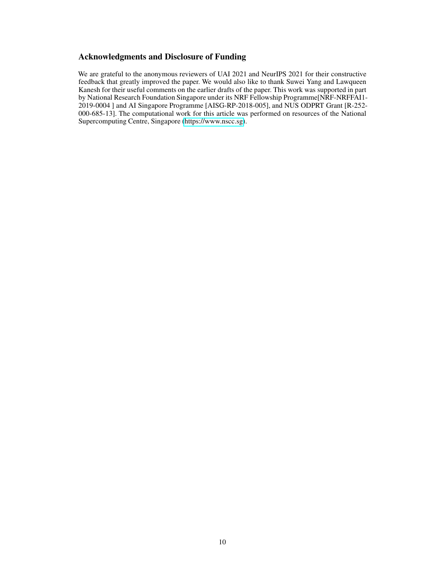# Acknowledgments and Disclosure of Funding

We are grateful to the anonymous reviewers of UAI 2021 and NeurIPS 2021 for their constructive feedback that greatly improved the paper. We would also like to thank Suwei Yang and Lawqueen Kanesh for their useful comments on the earlier drafts of the paper. This work was supported in part by National Research Foundation Singapore under its NRF Fellowship Programme[NRF-NRFFAI1- 2019-0004 ] and AI Singapore Programme [AISG-RP-2018-005], and NUS ODPRT Grant [R-252- 000-685-13]. The computational work for this article was performed on resources of the National Supercomputing Centre, Singapore [\(https://www.nscc.sg\)](https://www.nscc.sg).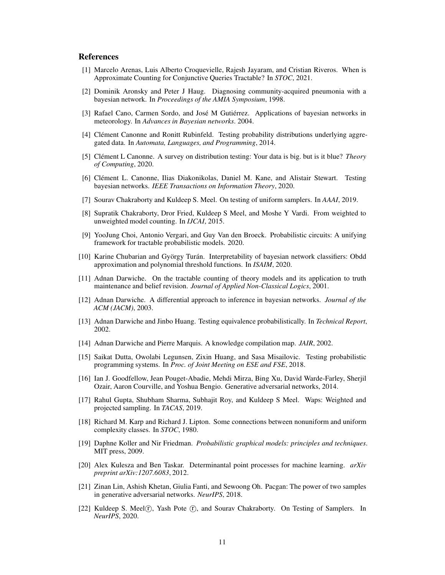# References

- <span id="page-10-13"></span>[1] Marcelo Arenas, Luis Alberto Croquevielle, Rajesh Jayaram, and Cristian Riveros. When is Approximate Counting for Conjunctive Queries Tractable? In *STOC*, 2021.
- <span id="page-10-5"></span>[2] Dominik Aronsky and Peter J Haug. Diagnosing community-acquired pneumonia with a bayesian network. In *Proceedings of the AMIA Symposium*, 1998.
- <span id="page-10-0"></span>[3] Rafael Cano, Carmen Sordo, and José M Gutiérrez. Applications of bayesian networks in meteorology. In *Advances in Bayesian networks*. 2004.
- <span id="page-10-11"></span>[4] Clément Canonne and Ronitt Rubinfeld. Testing probability distributions underlying aggregated data. In *Automata, Languages, and Programming*, 2014.
- <span id="page-10-16"></span>[5] Clément L Canonne. A survey on distribution testing: Your data is big. but is it blue? *Theory of Computing*, 2020.
- <span id="page-10-8"></span>[6] Clément L. Canonne, Ilias Diakonikolas, Daniel M. Kane, and Alistair Stewart. Testing bayesian networks. *IEEE Transactions on Information Theory*, 2020.
- <span id="page-10-17"></span>[7] Sourav Chakraborty and Kuldeep S. Meel. On testing of uniform samplers. In *AAAI*, 2019.
- <span id="page-10-14"></span>[8] Supratik Chakraborty, Dror Fried, Kuldeep S Meel, and Moshe Y Vardi. From weighted to unweighted model counting. In *IJCAI*, 2015.
- <span id="page-10-1"></span>[9] YooJung Choi, Antonio Vergari, and Guy Van den Broeck. Probabilistic circuits: A unifying framework for tractable probabilistic models. 2020.
- <span id="page-10-10"></span>[10] Karine Chubarian and György Turán. Interpretability of bayesian network classifiers: Obdd approximation and polynomial threshold functions. In *ISAIM*, 2020.
- <span id="page-10-12"></span>[11] Adnan Darwiche. On the tractable counting of theory models and its application to truth maintenance and belief revision. *Journal of Applied Non-Classical Logics*, 2001.
- <span id="page-10-21"></span>[12] Adnan Darwiche. A differential approach to inference in bayesian networks. *Journal of the ACM (JACM)*, 2003.
- <span id="page-10-6"></span>[13] Adnan Darwiche and Jinbo Huang. Testing equivalence probabilistically. In *Technical Report*, 2002.
- <span id="page-10-15"></span>[14] Adnan Darwiche and Pierre Marquis. A knowledge compilation map. *JAIR*, 2002.
- <span id="page-10-9"></span>[15] Saikat Dutta, Owolabi Legunsen, Zixin Huang, and Sasa Misailovic. Testing probabilistic programming systems. In *Proc. of Joint Meeting on ESE and FSE*, 2018.
- <span id="page-10-3"></span>[16] Ian J. Goodfellow, Jean Pouget-Abadie, Mehdi Mirza, Bing Xu, David Warde-Farley, Sherjil Ozair, Aaron Courville, and Yoshua Bengio. Generative adversarial networks, 2014.
- <span id="page-10-19"></span>[17] Rahul Gupta, Shubham Sharma, Subhajit Roy, and Kuldeep S Meel. Waps: Weighted and projected sampling. In *TACAS*, 2019.
- <span id="page-10-20"></span>[18] Richard M. Karp and Richard J. Lipton. Some connections between nonuniform and uniform complexity classes. In *STOC*, 1980.
- <span id="page-10-2"></span>[19] Daphne Koller and Nir Friedman. *Probabilistic graphical models: principles and techniques*. MIT press, 2009.
- <span id="page-10-4"></span>[20] Alex Kulesza and Ben Taskar. Determinantal point processes for machine learning. *arXiv preprint arXiv:1207.6083*, 2012.
- <span id="page-10-7"></span>[21] Zinan Lin, Ashish Khetan, Giulia Fanti, and Sewoong Oh. Pacgan: The power of two samples in generative adversarial networks. *NeurIPS*, 2018.
- <span id="page-10-18"></span>[22] Kuldeep S. Meel(r̄), Yash Pote (r̄), and Sourav Chakraborty. On Testing of Samplers. In *NeurIPS*, 2020.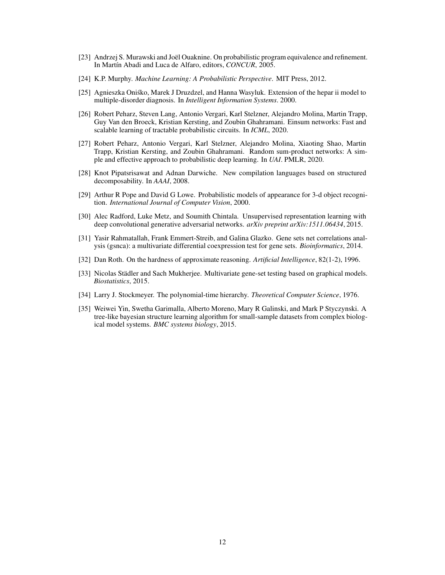- <span id="page-11-6"></span>[23] Andrzej S. Murawski and Joël Ouaknine. On probabilistic program equivalence and refinement. In Martín Abadi and Luca de Alfaro, editors, *CONCUR*, 2005.
- <span id="page-11-11"></span>[24] K.P. Murphy. *Machine Learning: A Probabilistic Perspective*. MIT Press, 2012.
- <span id="page-11-2"></span>[25] Agnieszka Oniśko, Marek J Druzdzel, and Hanna Wasyluk. Extension of the hepar ii model to multiple-disorder diagnosis. In *Intelligent Information Systems*. 2000.
- <span id="page-11-7"></span>[26] Robert Peharz, Steven Lang, Antonio Vergari, Karl Stelzner, Alejandro Molina, Martin Trapp, Guy Van den Broeck, Kristian Kersting, and Zoubin Ghahramani. Einsum networks: Fast and scalable learning of tractable probabilistic circuits. In *ICML*, 2020.
- <span id="page-11-8"></span>[27] Robert Peharz, Antonio Vergari, Karl Stelzner, Alejandro Molina, Xiaoting Shao, Martin Trapp, Kristian Kersting, and Zoubin Ghahramani. Random sum-product networks: A simple and effective approach to probabilistic deep learning. In *UAI*. PMLR, 2020.
- <span id="page-11-12"></span>[28] Knot Pipatsrisawat and Adnan Darwiche. New compilation languages based on structured decomposability. In *AAAI*, 2008.
- <span id="page-11-0"></span>[29] Arthur R Pope and David G Lowe. Probabilistic models of appearance for 3-d object recognition. *International Journal of Computer Vision*, 2000.
- <span id="page-11-1"></span>[30] Alec Radford, Luke Metz, and Soumith Chintala. Unsupervised representation learning with deep convolutional generative adversarial networks. *arXiv preprint arXiv:1511.06434*, 2015.
- <span id="page-11-3"></span>[31] Yasir Rahmatallah, Frank Emmert-Streib, and Galina Glazko. Gene sets net correlations analysis (gsnca): a multivariate differential coexpression test for gene sets. *Bioinformatics*, 2014.
- <span id="page-11-9"></span>[32] Dan Roth. On the hardness of approximate reasoning. *Artificial Intelligence*, 82(1-2), 1996.
- <span id="page-11-4"></span>[33] Nicolas Städler and Sach Mukherjee. Multivariate gene-set testing based on graphical models. *Biostatistics*, 2015.
- <span id="page-11-10"></span>[34] Larry J. Stockmeyer. The polynomial-time hierarchy. *Theoretical Computer Science*, 1976.
- <span id="page-11-5"></span>[35] Weiwei Yin, Swetha Garimalla, Alberto Moreno, Mary R Galinski, and Mark P Styczynski. A tree-like bayesian structure learning algorithm for small-sample datasets from complex biological model systems. *BMC systems biology*, 2015.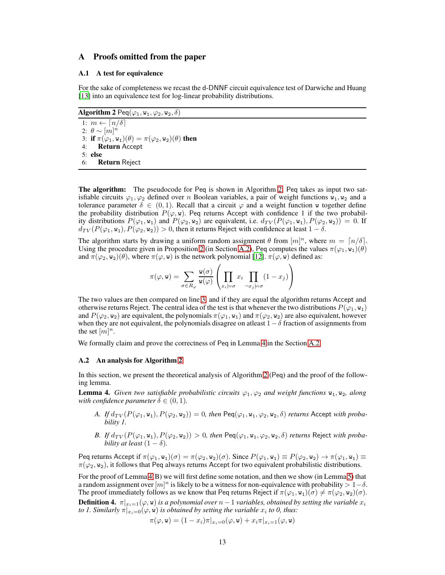### <span id="page-12-1"></span><span id="page-12-0"></span>A Proofs omitted from the paper

#### A.1 A test for equivalence

For the sake of completeness we recast the d-DNNF circuit equivalence test of Darwiche and Huang [\[13](#page-10-6)] into an equivalence test for log-linear probability distributions.

<span id="page-12-2"></span>Algorithm 2 Peq( $\varphi_1$ ,  $w_1$ ,  $\varphi_2$ ,  $w_2$ ,  $\delta$ )

<span id="page-12-4"></span>1:  $m \leftarrow \lceil n/\delta \rceil$ 2:  $\theta \sim [m]^n$ 3: if  $\pi(\varphi_1, w_1)(\theta) = \pi(\varphi_2, w_2)(\theta)$  then 4: Return Accept 5: else 6: Return Reject

The algorithm: The pseudocode for Peq is shown in Algorithm [2.](#page-12-2) Peq takes as input two satisfiable circuits  $\varphi_1, \varphi_2$  defined over n Boolean variables, a pair of weight functions  $\overline{w}_1, \overline{w}_2$  and a tolerance parameter  $\delta \in (0,1)$ . Recall that a circuit  $\varphi$  and a weight function w together define the probability distribution  $P(\varphi, \mathbf{w})$ . Peq returns Accept with confidence 1 if the two probability distributions  $P(\varphi_1, \mathbf{w}_1)$  and  $P(\varphi_2, \mathbf{w}_2)$  are equivalent, i.e.  $d_{TV}(P(\varphi_1, \mathbf{w}_1), P(\varphi_2, \mathbf{w}_2)) = 0$ . If  $d_{TV}(P(\varphi_1, w_1), P(\varphi_2, w_2)) > 0$ , then it returns Reject with confidence at least  $1 - \delta$ .

The algorithm starts by drawing a uniform random assignment  $\theta$  from  $[m]^n$ , where  $m = \lceil n/\delta \rceil$ . Using the procedure given in Proposition [2](#page-13-0) (in Section [A.2\)](#page-12-3), Peq computes the values  $\pi(\varphi_1, \mathbf{w}_1)(\theta)$ and  $\pi(\varphi_2, w_2)(\theta)$ , where  $\pi(\varphi, w)$  is the network polynomial [\[12\]](#page-10-21).  $\pi(\varphi, w)$  defined as:

$$
\pi(\varphi, \mathbf{w}) = \sum_{\sigma \in R_{\varphi}} \frac{\mathbf{w}(\sigma)}{\mathbf{w}(\varphi)} \left( \prod_{x_i \models \sigma} x_i \prod_{\neg x_j \models \sigma} (1 - x_j) \right)
$$

The two values are then compared on line [3,](#page-12-4) and if they are equal the algorithm returns Accept and otherwise returns Reject. The central idea of the test is that whenever the two distributions  $P(\varphi_1, w_1)$ and  $P(\varphi_2, w_2)$  are equivalent, the polynomials  $\pi(\varphi_1, w_1)$  and  $\pi(\varphi_2, w_2)$  are also equivalent, however when they are not equivalent, the polynomials disagree on at least  $1-\delta$  fraction of assignments from the set  $[m]^n$ .

<span id="page-12-3"></span>We formally claim and prove the correctness of Peq in Lemma [4](#page-12-5) in the Section [A.2.](#page-12-3)

#### A.2 An analysis for Algorithm [2](#page-12-2)

In this section, we present the theoretical analysis of Algorithm [2](#page-12-2) (Peq) and the proof of the following lemma.

<span id="page-12-5"></span>**Lemma 4.** *Given two satisfiable probabilistic circuits*  $\varphi_1, \varphi_2$  *and weight functions*  $w_1, w_2$ *, along with confidence parameter*  $\delta \in (0,1)$ *.* 

- A. If  $d_{TV}(P(\varphi_1, w_1), P(\varphi_2, w_2)) = 0$ , then  $\text{Peq}(\varphi_1, w_1, \varphi_2, w_2, \delta)$  *returns* Accept *with probability 1.*
- *B.* If  $d_{TV}(P(\varphi_1, w_1), P(\varphi_2, w_2)) > 0$ , then  $\text{Peq}(\varphi_1, w_1, \varphi_2, w_2, \delta)$  *returns* Reject *with probability at least*  $(1 - \delta)$ *.*

Peq returns Accept if  $\pi(\varphi_1, \mathbf{w}_1)(\sigma) = \pi(\varphi_2, \mathbf{w}_2)(\sigma)$ . Since  $P(\varphi_1, \mathbf{w}_1) \equiv P(\varphi_2, \mathbf{w}_2) \rightarrow \pi(\varphi_1, \mathbf{w}_1) \equiv$  $\pi(\varphi_2, w_2)$ , it follows that Peq always returns Accept for two equivalent probabilistic distributions.

For the proof of Lemma [4\(](#page-12-5)B) we will first define some notation, and then we show (in Lemma [5\)](#page-13-1) that a random assignment over  $[m]^n$  is likely to be a witness for non-equivalence with probability >  $1-\delta$ . The proof immediately follows as we know that Peq returns Reject if  $\pi(\varphi_1, w_1)(\sigma) \neq \pi(\varphi_2, w_2)(\sigma)$ . **Definition 4.**  $\pi|_{x_i=1}(\varphi, \mathbf{w})$  *is a polynomial over*  $n-1$  *variables, obtained by setting the variable*  $x_i$ *to 1. Similarly*  $\pi|_{x_i=0}(\varphi, \mathbf{w})$  *is obtained by setting the variable*  $x_i$  *to 0, thus:* 

$$
\pi(\varphi, \mathbf{w}) = (1 - x_i)\pi|_{x_i=0}(\varphi, \mathbf{w}) + x_i\pi|_{x_i=1}(\varphi, \mathbf{w})
$$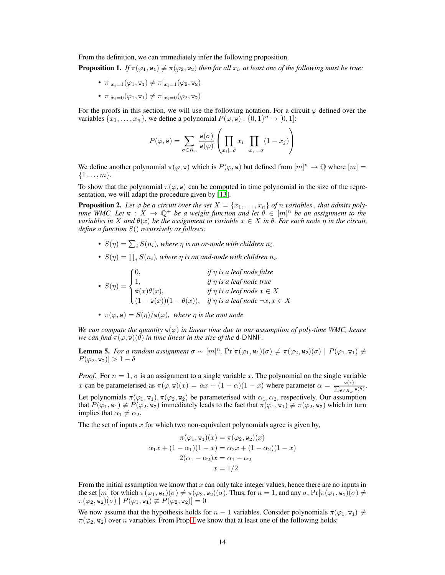From the definition, we can immediately infer the following proposition.

<span id="page-13-2"></span>**Proposition 1.** *If*  $\pi(\varphi_1, \mathbf{w}_1) \neq \pi(\varphi_2, \mathbf{w}_2)$  *then for all*  $x_i$ *, at least one of the following must be true:* 

- $\pi|_{x_i=1}(\varphi_1, \mathbf{w}_1) \neq \pi|_{x_i=1}(\varphi_2, \mathbf{w}_2)$
- $\pi|_{x_i=0}(\varphi_1, w_1) \neq \pi|_{x_i=0}(\varphi_2, w_2)$

For the proofs in this section, we will use the following notation. For a circuit  $\varphi$  defined over the variables  $\{x_1, \ldots, x_n\}$ , we define a polynomial  $P(\varphi, \mathbf{w})$ :  $\{0, 1\}^n \to [0, 1]$ :

$$
P(\varphi, \mathbf{w}) = \sum_{\sigma \in R_{\varphi}} \frac{\mathbf{w}(\sigma)}{\mathbf{w}(\varphi)} \left( \prod_{x_i \models \sigma} x_i \prod_{\neg x_j \models \sigma} (1 - x_j) \right)
$$

We define another polynomial  $\pi(\varphi, \mathbf{w})$  which is  $P(\varphi, \mathbf{w})$  but defined from  $[m]^n \to \mathbb{Q}$  where  $[m] =$  $\{1 \ldots, m\}.$ 

To show that the polynomial  $\pi(\varphi, w)$  can be computed in time polynomial in the size of the representation, we will adapt the procedure given by [\[13](#page-10-6)].

<span id="page-13-0"></span>**Proposition 2.** Let  $\varphi$  be a circuit over the set  $X = \{x_1, \ldots, x_n\}$  of n variables, that admits poly*time WMC. Let*  $w: X \to \mathbb{Q}^+$  *be a weight function and let*  $\theta \in [m]^n$  *be an assignment to the variables in* X *and*  $\theta(x)$  *be the assignment to variable*  $x \in X$  *in*  $\theta$ *. For each node*  $\eta$  *in the circuit, define a function* S() *recursively as follows:*

- $S(\eta) = \sum_i S(n_i)$ , where  $\eta$  is an or-node with children  $n_i$ .
- $S(\eta) = \prod_i S(n_i)$ , where  $\eta$  is an and-node with children  $n_i$ .

•  $S(\eta) =$  $\sqrt{ }$  $\int$  $\overline{a}$ 0, *if* η *is a leaf node false* 1, *if* η *is a leaf node true*  $w(x)\theta(x)$ , *if*  $\eta$  *is a leaf node*  $x \in X$  $(1 - w(x))(1 - \theta(x)),$  *if*  $\eta$  *is a leaf node*  $\neg x, x \in X$ 

•  $\pi(\varphi, \mathbf{w}) = S(\eta)/\mathbf{w}(\varphi)$ , where  $\eta$  is the root node

*We can compute the quantity*  $w(\varphi)$  *in linear time due to our assumption of poly-time WMC, hence we can find*  $\pi(\varphi, \mathbf{w})(\theta)$  *in time linear in the size of the* **d-DNNF**.

<span id="page-13-1"></span>**Lemma 5.** *For a random assignment*  $\sigma \sim [m]^n$ ,  $Pr[\pi(\varphi_1, \mathbf{w}_1)(\sigma) \neq \pi(\varphi_2, \mathbf{w}_2)(\sigma) | P(\varphi_1, \mathbf{w}_1) \neq$  $P(\varphi_2, w_2) > 1 - \delta$ 

*Proof.* For  $n = 1$ ,  $\sigma$  is an assignment to a single variable x. The polynomial on the single variable x can be parameterised as  $\pi(\varphi, \mathbf{w})(x) = \alpha x + (1 - \alpha)(1 - x)$  where parameter  $\alpha = \frac{\mathbf{w}(\mathbf{x})}{\sum_{\theta \in R_{\varphi}} \mathbf{w}(\theta)}$ . Let polynomials  $\pi(\varphi_1, w_1), \pi(\varphi_2, w_2)$  be parameterised with  $\alpha_1, \alpha_2$ , respectively. Our assumption that  $P(\varphi_1, \mathbf{w}_1) \not\equiv P(\varphi_2, \mathbf{w}_2)$  immediately leads to the fact that  $\pi(\varphi_1, \mathbf{w}_1) \not\equiv \pi(\varphi_2, \mathbf{w}_2)$  which in turn implies that  $\alpha_1 \neq \alpha_2$ .

The the set of inputs  $x$  for which two non-equivalent polynomials agree is given by,

$$
\pi(\varphi_1, \mathbf{w}_1)(x) = \pi(\varphi_2, \mathbf{w}_2)(x)
$$

$$
\alpha_1 x + (1 - \alpha_1)(1 - x) = \alpha_2 x + (1 - \alpha_2)(1 - x)
$$

$$
2(\alpha_1 - \alpha_2)x = \alpha_1 - \alpha_2
$$

$$
x = 1/2
$$

From the initial assumption we know that  $x$  can only take integer values, hence there are no inputs in the set  $[m]$  for which  $\pi(\varphi_1, w_1)(\sigma) \neq \pi(\varphi_2, w_2)(\sigma)$ . Thus, for  $n = 1$ , and any  $\sigma$ ,  $Pr[\pi(\varphi_1, w_1)(\sigma) \neq$  $\pi(\varphi_2, \mathbf{w}_2)(\sigma) | P(\varphi_1, \mathbf{w}_1) \not\equiv P(\varphi_2, \mathbf{w}_2) ] = 0$ 

We now assume that the hypothesis holds for  $n - 1$  variables. Consider polynomials  $\pi(\varphi_1, \mathbf{w}_1) \neq$  $\pi(\varphi_2, w_2)$  over n variables. From Prop [1](#page-13-2) we know that at least one of the following holds: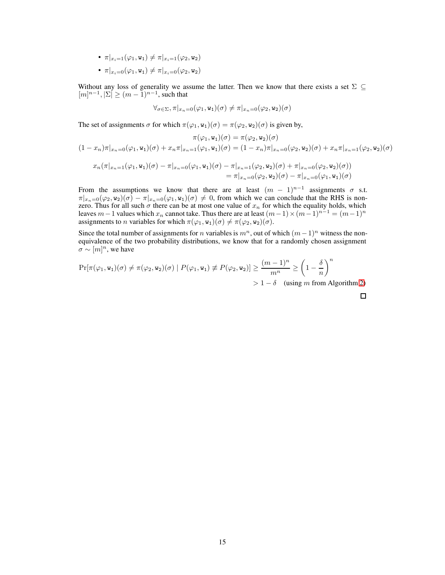- $\pi|_{x_i=1}(\varphi_1, \mathbf{w}_1) \neq \pi|_{x_i=1}(\varphi_2, \mathbf{w}_2)$
- $\pi|_{x_i=0}(\varphi_1, w_1) \neq \pi|_{x_i=0}(\varphi_2, w_2)$

Without any loss of generality we assume the latter. Then we know that there exists a set  $\Sigma \subseteq$  $[m]^{n-1}, |\Sigma| \ge (m-1)^{n-1}$ , such that

$$
\forall_{\sigma \in \Sigma}, \pi|_{x_n=0}(\varphi_1, \mathbf{w_1})(\sigma) \neq \pi|_{x_n=0}(\varphi_2, \mathbf{w_2})(\sigma)
$$

The set of assignments  $\sigma$  for which  $\pi(\varphi_1, w_1)(\sigma) = \pi(\varphi_2, w_2)(\sigma)$  is given by,

$$
\pi(\varphi_1, \mathbf{w}_1)(\sigma) = \pi(\varphi_2, \mathbf{w}_2)(\sigma)
$$
  

$$
(1 - x_n)\pi|_{x_n=0}(\varphi_1, \mathbf{w}_1)(\sigma) + x_n\pi|_{x_n=1}(\varphi_1, \mathbf{w}_1)(\sigma) = (1 - x_n)\pi|_{x_n=0}(\varphi_2, \mathbf{w}_2)(\sigma) + x_n\pi|_{x_n=1}(\varphi_2, \mathbf{w}_2)(\sigma)
$$
  

$$
x_n(\pi|_{x_n=1}(\varphi_1, \mathbf{w}_1)(\sigma) - \pi|_{x_n=0}(\varphi_1, \mathbf{w}_1)(\sigma) - \pi|_{x_n=1}(\varphi_2, \mathbf{w}_2)(\sigma) + \pi|_{x_n=0}(\varphi_2, \mathbf{w}_2)(\sigma))
$$

 $=\pi|_{x_n=0}(\varphi_2,\mathbf{w}_2)(\sigma)-\pi|_{x_n=0}(\varphi_1,\mathbf{w}_1)(\sigma)$ 

From the assumptions we know that there are at least  $(m - 1)^{n-1}$  assignments  $\sigma$  s.t.  $\pi|_{x_n=0}(\varphi_2,\mathbf{w}_2)(\sigma)-\pi|_{x_n=0}(\varphi_1,\mathbf{w}_1)(\sigma)\neq 0$ , from which we can conclude that the RHS is nonzero. Thus for all such  $\sigma$  there can be at most one value of  $x_n$  for which the equality holds, which leaves  $m-1$  values which  $x_n$  cannot take. Thus there are at least  $(m-1) \times (m-1)^{n-1} = (m-1)^n$ assignments to *n* variables for which  $\pi(\varphi_1, \mathbf{w}_1)(\sigma) \neq \pi(\varphi_2, \mathbf{w}_2)(\sigma)$ .

Since the total number of assignments for *n* variables is  $m<sup>n</sup>$ , out of which  $(m-1)<sup>n</sup>$  witness the nonequivalence of the two probability distributions, we know that for a randomly chosen assignment  $\sigma \sim [m]^n$ , we have

$$
\Pr[\pi(\varphi_1, \mathbf{w}_1)(\sigma) \neq \pi(\varphi_2, \mathbf{w}_2)(\sigma) \mid P(\varphi_1, \mathbf{w}_1) \neq P(\varphi_2, \mathbf{w}_2)] \geq \frac{(m-1)^n}{m^n} \geq \left(1 - \frac{\delta}{n}\right)^n
$$
  
> 1 - \delta (using m from Algorithm 2)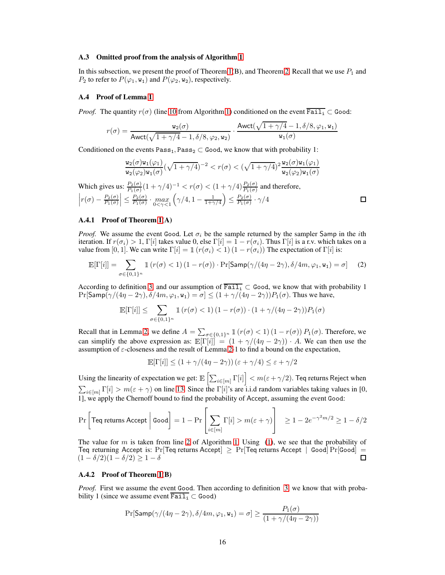#### A.3 Omitted proof from the analysis of Algorithm [1](#page-4-0)

In this subsection, we present the proof of Theorem [1\(](#page-3-1)B), and Theorem [2.](#page-3-2) Recall that we use  $P_1$  and  $P_2$  to refer to  $P(\varphi_1, \mathbf{w}_1)$  and  $P(\varphi_2, \mathbf{w}_2)$ , respectively.

#### <span id="page-15-1"></span>A.4 Proof of Lemma [1](#page-4-5)

*Proof.* The quantity  $r(\sigma)$  (line [10](#page-4-2) from Algorithm [1\)](#page-4-0) conditioned on the event  $\overline{;\text{fail}_{i}} \subset \text{Good}$ :

$$
r(\sigma)=\frac{\mathtt{w_2}(\sigma)}{\mathsf{Awct}(\sqrt{1+\gamma/4}-1,\delta/8,\varphi_2,\mathtt{w_2})}\cdot\frac{\mathsf{Awct}(\sqrt{1+\gamma/4}-1,\delta/8,\varphi_1,\mathtt{w_1})}{\mathtt{w_1}(\sigma)}
$$

Conditioned on the events Pass<sub>1</sub>, Pass<sub>2</sub> ⊂ Good, we know that with probability 1:

$$
\frac{\mathsf{w}_2(\sigma)\mathsf{w}_1(\varphi_1)}{\mathsf{w}_2(\varphi_2)\mathsf{w}_1(\sigma)}(\sqrt{1+\gamma/4})^{-2} < r(\sigma) < (\sqrt{1+\gamma/4})^2\frac{\mathsf{w}_2(\sigma)\mathsf{w}_1(\varphi_1)}{\mathsf{w}_2(\varphi_2)\mathsf{w}_1(\sigma)}
$$

<span id="page-15-2"></span> $\Box$ 

Which gives us:  $\frac{P_2(\sigma)}{P_1(\sigma)}(1+\gamma/4)^{-1} < r(\sigma) < (1+\gamma/4)\frac{P_2(\sigma)}{P_1(\sigma)}$  and therefore,  $\left|r(\sigma)-\frac{P_2(\sigma)}{P_1(\sigma)}\right|$  $P_1(\sigma)$  $\left| \leq \frac{P_2(\sigma)}{P_1(\sigma)} \right|$  $\frac{F_2(\sigma)}{P_1(\sigma)} \cdot \max_{0 \leq \gamma \leq 1}$  $\left(\gamma/4, 1-\frac{1}{1+\gamma/4}\right) \leq \frac{P_2(\sigma)}{P_1(\sigma)}$  $\frac{F_2(\sigma)}{P_1(\sigma)} \cdot \gamma/4$ 

### A.4.1 Proof of Theorem [1\(](#page-3-1)A)

*Proof.* We assume the event Good. Let  $\sigma_i$  be the sample returned by the sampler Samp in the *i*th iteration. If  $r(\sigma_i) > 1$ , Γ[i] takes value 0, else Γ[i] = 1 –  $r(\sigma_i)$ . Thus Γ[i] is a r.v. which takes on a value from [0, 1]. We can write  $\Gamma[i] = \mathbb{1} (r(\sigma_i) < 1) (1 - r(\sigma_i))$  The expectation of  $\Gamma[i]$  is:

$$
\mathbb{E}[\Gamma[i]] = \sum_{\sigma \in \{0,1\}^n} \mathbb{1}\left(r(\sigma) < 1\right) \left(1 - r(\sigma)\right) \cdot \Pr[\mathsf{Samp}(\gamma/(4\eta - 2\gamma), \delta/4m, \varphi_1, \mathbf{w}_1) = \sigma] \tag{2}
$$

According to definition [3,](#page-2-0) and our assumption of  $\overline{Paul}_1 \subset$  Good, we know that with probability 1  $Pr[\textsf{Samp}(\gamma/(4\eta-2\gamma), \delta/4m, \varphi_1, \mathbf{w}_1) = \sigma] \leq (1 + \gamma/(4\eta-2\gamma))P_1(\sigma)$ . Thus we have,

$$
\mathbb{E}[\Gamma[i]] \leq \sum_{\sigma \in \{0,1\}^n} \mathbb{1} \left( r(\sigma) < 1 \right) \left( 1 - r(\sigma) \right) \cdot \left( 1 + \gamma / (4\eta - 2\gamma) \right) P_1(\sigma)
$$

Recall that in Lemma [2,](#page-4-7) we define  $A = \sum_{\sigma \in \{0,1\}^n} \mathbb{1}(r(\sigma) < 1) (1 - r(\sigma)) P_1(\sigma)$ . Therefore, we can simplify the above expression as:  $\mathbb{E}[\Gamma[i]] = (1 + \gamma/(4\eta - 2\gamma)) \cdot A$ . We can then use the assumption of  $\varepsilon$ -closeness and the result of Lemma [2-](#page-4-7)1 to find a bound on the expectation,

$$
\mathbb{E}[\Gamma[i]] \leq (1+\gamma/(4\eta-2\gamma))\left(\varepsilon+\gamma/4\right) \leq \varepsilon+\gamma/2
$$

Using the linearity of expectation we get:  $\mathbb{E}\left[\sum_{i\in[m]}\Gamma[i]\right] < m(\varepsilon+\gamma/2)$ . Teq returns Reject when  $\sum_{i\in[m]} \Gamma[i] > m(\varepsilon + \gamma)$  on line [13.](#page-4-8) Since the  $\Gamma[i]$ 's are i.i.d random variables taking values in [0, 1], we apply the Chernoff bound to find the probability of Accept, assuming the event Good:

$$
\Pr\left[\text{Teq returns Accept}\left|\text{Good}\right] = 1 - \Pr\left[\sum_{i \in [m]} \Gamma[i] > m(\varepsilon + \gamma)\right] \ge 1 - 2e^{-\gamma^2 m/2} \ge 1 - \delta/2
$$

The value for m is taken from line [2](#page-4-6) of Algorithm [1.](#page-4-0) Using  $(1)$ , we see that the probability of Teq returning Accept is: Pr[Teq returns Accept]  $\geq$  Pr[Teq returns Accept | Good] Pr[Good] =  $(1 - \delta/2)(1 - \delta/2) > 1 - \delta$  $(1 - \delta/2)(1 - \delta/2) \geq 1 - \delta$ 

#### <span id="page-15-0"></span>A.4.2 Proof of Theorem [1\(](#page-3-1)B)

*Proof.* First we assume the event Good. Then according to definition [3,](#page-2-0) we know that with probability 1 (since we assume event  $\overline{[\text{Tail}_i]} \subset \text{Good}$ )

$$
\Pr[\mathsf{Samp}(\gamma/(4\eta-2\gamma), \delta/4m, \varphi_1, \mathbf{w}_1) = \sigma] \ge \frac{P_1(\sigma)}{(1 + \gamma/(4\eta - 2\gamma))}
$$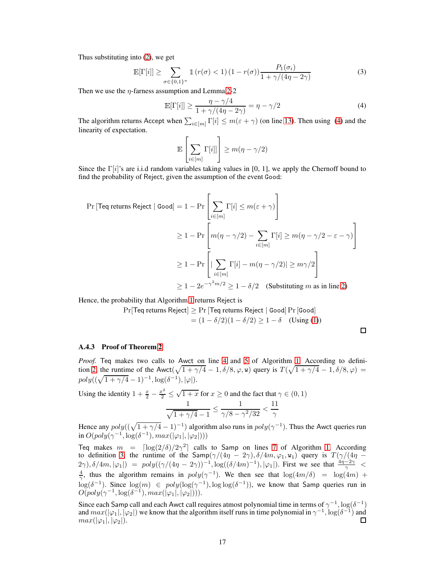Thus substituting into [\(2\)](#page-15-2), we get

$$
\mathbb{E}[\Gamma[i]] \ge \sum_{\sigma \in \{0,1\}^n} \mathbb{1}\left(r(\sigma) < 1\right) \left(1 - r(\sigma)\right) \frac{P_1(\sigma_i)}{1 + \gamma/(4\eta - 2\gamma)}\tag{3}
$$

Then we use the  $\eta$ -farness assumption and Lemma [2-](#page-4-7)2

$$
\mathbb{E}[\Gamma[i]] \ge \frac{\eta - \gamma/4}{1 + \gamma/(4\eta - 2\gamma)} = \eta - \gamma/2
$$
\n(4)

The algorithm returns Accept when  $\sum_{i \in [m]} \Gamma[i] \le m(\varepsilon + \gamma)$  (on line [13\)](#page-4-8). Then using [\(4\)](#page-16-1) and the linearity of expectation.

<span id="page-16-1"></span>
$$
\mathbb{E}\left[\sum_{i\in[m]}\Gamma[i]]\right] \geq m(\eta-\gamma/2)
$$

Since the  $\Gamma[i]$ 's are i.i.d random variables taking values in [0, 1], we apply the Chernoff bound to find the probability of Reject, given the assumption of the event Good:

$$
\Pr[\text{Teq returns Reject} \mid \text{Good}] = 1 - \Pr\left[\sum_{i \in [m]} \Gamma[i] \le m(\varepsilon + \gamma)\right]
$$
  
\n
$$
\ge 1 - \Pr\left[m(\eta - \gamma/2) - \sum_{i \in [m]} \Gamma[i] \ge m(\eta - \gamma/2 - \varepsilon - \gamma)\right]
$$
  
\n
$$
\ge 1 - \Pr\left[\sum_{i \in [m]} \Gamma[i] - m(\eta - \gamma/2)| \ge m\gamma/2\right]
$$
  
\n
$$
\ge 1 - 2e^{-\gamma^2 m/2} \ge 1 - \delta/2 \quad \text{(Substituting } m \text{ as in line 2)}
$$

Hence, the probability that Algorithm [1](#page-4-0) returns Reject is

$$
Pr[Teq returns Reject] \ge Pr [Teq returns Reject | Good] Pr [Good]
$$

$$
= (1 - \delta/2)(1 - \delta/2) \ge 1 - \delta \quad (Using (1))
$$

 $\Box$ 

#### <span id="page-16-0"></span>A.4.3 Proof of Theorem [2](#page-3-2)

*Proof.* Teq makes two calls to Awct on line [4](#page-4-3) and [5](#page-4-4) of Algorithm [1.](#page-4-0) According to defini-tion [2,](#page-2-1) the runtime of the Awct $(\sqrt{1 + \gamma/4} - 1, \delta/8, \varphi, \mathbf{w})$  query is  $T(\sqrt{1 + \gamma/4} - 1, \delta/8, \varphi)$  $poly((\sqrt{1 + \gamma/4} - 1)^{-1}, \log(\delta^{-1}), |\varphi|).$ 

Using the identity  $1 + \frac{x}{2} - \frac{x^2}{2} \le \sqrt{1 + x}$  for  $x \ge 0$  and the fact that  $\gamma \in (0, 1)$ 1  $\sqrt{1 + \gamma/4} - 1$ 1  $\frac{1}{\gamma/8-\gamma^2/32} < \frac{11}{\gamma}$  $\gamma$ 

Hence any  $poly((\sqrt{1 + \gamma/4} - 1)^{-1})$  algorithm also runs in  $poly(\gamma^{-1})$ . Thus the Awct queries run in  $O(poly(\gamma^{-1}, \log(\delta^{-1}), max(|\varphi_1|, |\varphi_2|)))$ 

Teq makes  $m = \left\lceil \log(2/\delta)/2\gamma^2 \right\rceil$  calls to Samp on lines [7](#page-4-1) of Algorithm [1.](#page-4-0) According to definition [3,](#page-2-0) the runtime of the Samp $(\gamma/(4\eta - 2\gamma), \delta/4m, \varphi_1, w_1)$  query is  $T(\gamma/(4\eta - 1))$  $(2\gamma)$ ,  $\delta/4m$ ,  $|\varphi_1|$  =  $poly((\gamma/(4\eta - 2\gamma))^{-1}$ ,  $log((\delta/4m)^{-1})$ ,  $|\varphi_1|$ ). First we see that  $\frac{4\eta - 2\gamma}{\gamma} < \frac{4}{\gamma}$ , thus the algorithm remains in  $poly(\gamma^{-1})$ . We then see that  $log(4m/\delta) = log(4m) +$  $\log(\delta^{-1})$ . Since  $\log(m) \in poly(\log(\gamma^{-1}), \log \log(\delta^{-1}))$ , we know that Samp queries run in  $O(poly(\gamma^{-1}, \log(\delta^{-1}), max(|\varphi_1|, |\varphi_2|))).$ 

Since each Samp call and each Awct call requires atmost polynomial time in terms of  $\gamma^{-1}$ ,  $\log(\delta^{-1})$ and  $max(|\varphi_1|, |\varphi_2|)$  we know that the algorithm itself runs in time polynomial in  $\gamma^{-1}$ ,  $\log(\delta^{-1})$  and  $max(|\varphi_1|, |\varphi_2|).$ 口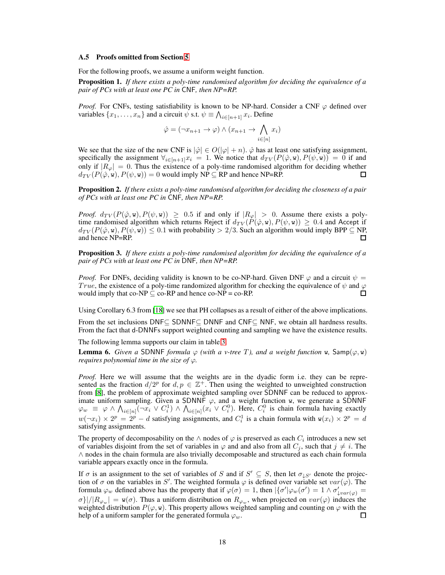#### <span id="page-17-0"></span>A.5 Proofs omitted from Section [5](#page-7-0)

For the following proofs, we assume a uniform weight function.

<span id="page-17-1"></span>Proposition 1. *If there exists a poly-time randomised algorithm for deciding the equivalence of a pair of PCs with at least one PC in* CNF*, then NP=RP.*

*Proof.* For CNFs, testing satisfiability is known to be NP-hard. Consider a CNF  $\varphi$  defined over variables  $\{x_1, \ldots, x_n\}$  and a circuit  $\psi$  s.t.  $\psi \equiv \bigwedge_{i \in [n+1]} x_i$ . Define

$$
\hat{\varphi} = (\neg x_{n+1} \to \varphi) \land (x_{n+1} \to \bigwedge_{i \in [n]} x_i)
$$

We see that the size of the new CNF is  $|\hat{\varphi}| \in O(|\varphi| + n)$ .  $\hat{\varphi}$  has at least one satisfying assignment, specifically the assignment  $\forall_{i\in[n+1]}x_i = 1$ . We notice that  $d_{TV}(P(\hat{\varphi}, \mathbf{w}), P(\psi, \mathbf{w})) = 0$  if and only if  $|R_{\varphi}| = 0$ . Thus the existence of a poly-time randomised algorithm for deciding whether  $d_{TV}(P(\hat{\varphi}, \mathbf{w}), P(\psi, \mathbf{w})) = 0$  would imply NP  $\subseteq$  RP and hence NP=RP.  $d_{TV}(P(\hat{\varphi}, \mathbf{w}), P(\psi, \mathbf{w})) = 0$  would imply NP  $\subseteq$  RP and hence NP=RP.

<span id="page-17-2"></span>Proposition 2. *If there exists a poly-time randomised algorithm for deciding the closeness of a pair of PCs with at least one PC in* CNF*, then NP=RP.*

*Proof.*  $d_{TV}(P(\hat{\varphi}, \mathbf{w}), P(\psi, \mathbf{w})) \ge 0.5$  if and only if  $|R_{\varphi}| > 0$ . Assume there exists a polytime randomised algorithm which returns Reject if  $d_{TV}(P(\hat{\varphi}, w), P(\psi, w)) \geq 0.4$  and Accept if  $d_{TV}(P(\hat{\varphi}, \mathbf{w}), P(\psi, \mathbf{w})) \leq 0.1$  with probability  $> 2/3$ . Such an algorithm would imply BPP  $\subseteq$  NP, and hence NP=RP.

<span id="page-17-3"></span>Proposition 3. *If there exists a poly-time randomised algorithm for deciding the equivalence of a pair of PCs with at least one PC in* DNF*, then NP=RP.*

*Proof.* For DNFs, deciding validity is known to be co-NP-hard. Given DNF  $\varphi$  and a circuit  $\psi =$ True, the existence of a poly-time randomized algorithm for checking the equivalence of  $\psi$  and  $\varphi$ would imply that  $co-NP \subseteq co-RP$  and hence  $co-NP = co-RP$ .  $\Box$ 

Using Corollary 6.3 from [\[18\]](#page-10-20) we see that PH collapses as a result of either of the above implications.

From the set inclusions DNF⊆ SDNNF⊆ DNNF and CNF⊆ NNF, we obtain all hardness results. From the fact that d-DNNFs support weighted counting and sampling we have the existence results.

The following lemma supports our claim in table [3.](#page-8-2)

**Lemma 6.** *Given a* SDNNF *formula*  $\varphi$  *(with a v-tree T), and a weight function*  $\psi$ , Samp $(\varphi, \psi)$ *requires polynomial time in the size of*  $\varphi$ *.* 

*Proof.* Here we will assume that the weights are in the dyadic form i.e. they can be represented as the fraction  $d/2^p$  for  $d, p \in \mathbb{Z}^+$ . Then using the weighted to unweighted construction from [\[8\]](#page-10-14), the problem of approximate weighted sampling over SDNNF can be reduced to approximate uniform sampling. Given a SDNNF  $\varphi$ , and a weight function w, we generate a SDNNF  $\varphi_w \equiv \varphi \wedge \bigwedge_{i \in [n]} (\neg x_i \vee C_i^1) \wedge \bigwedge_{i \in [n]} (x_i \vee C_i^0)$ . Here,  $C_i^0$  is chain formula having exactly  $w(\neg x_i) \times 2^p = 2^p - d$  satisfying assignments, and  $C_i^1$  is a chain formula with  $w(x_i) \times 2^p = d$ satisfying assignments.

The property of decomposability on the  $\wedge$  nodes of  $\varphi$  is preserved as each  $C_i$  introduces a new set of variables disjoint from the set of variables in  $\varphi$  and and also from all  $C_j$ , such that  $j \neq i$ . The ∧ nodes in the chain formula are also trivially decomposable and structured as each chain formula variable appears exactly once in the formula.

If  $\sigma$  is an assignment to the set of variables of S and if  $S' \subseteq S$ , then let  $\sigma_{\downarrow S'}$  denote the projection of  $\sigma$  on the variables in S'. The weighted formula  $\varphi$  is defined over variable set  $var(\varphi)$ . The formula  $\varphi_w$  defined above has the property that if  $\varphi(\sigma) = 1$ , then  $\left|\{\sigma'|\varphi_w(\sigma') = 1 \land \sigma'_{\downarrow var(\varphi)} = 1\}\right|$  $\sigma\}/|R_{\varphi_w}| = w(\sigma)$ . Thus a uniform distribution on  $R_{\varphi_w}$ , when projected on  $var(\varphi)$  induces the weighted distribution  $P(\varphi, \mathbf{w})$ . This property allows weighted sampling and counting on  $\varphi$  with the help of a uniform sampler for the generated formula  $\varphi_w$ . □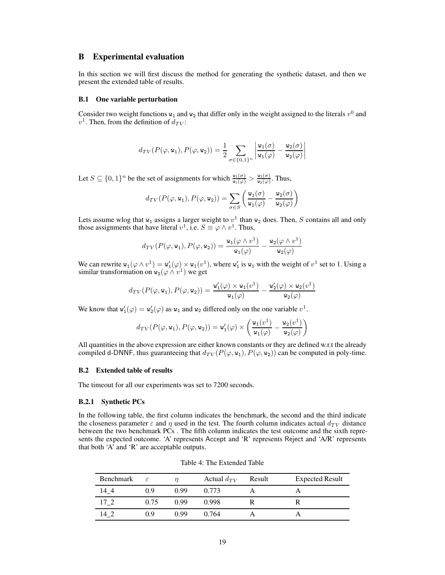### <span id="page-18-0"></span>B Experimental evaluation

In this section we will first discuss the method for generating the synthetic dataset, and then we present the extended table of results.

#### <span id="page-18-1"></span>B.1 One variable perturbation

Consider two weight functions  $w_1$  and  $w_2$  that differ only in the weight assigned to the literals  $v^0$  and  $v^1$ . Then, from the definition of  $d_{TV}$ :

$$
d_{TV}(P(\varphi,\mathbf{w_1}),P(\varphi,\mathbf{w_2})) = \frac{1}{2} \sum_{\sigma \in \{0,1\}^n} \left| \frac{\mathbf{w_1}(\sigma)}{\mathbf{w_1}(\varphi)} - \frac{\mathbf{w_2}(\sigma)}{\mathbf{w_2}(\varphi)} \right|
$$

Let  $S \subseteq \{0,1\}^n$  be the set of assignments for which  $\frac{w_1(\sigma)}{w_1(\varphi)} > \frac{w_2(\sigma)}{w_2(\varphi)}$  $\frac{w_2(\sigma)}{w_2(\varphi)}$ . Thus,

$$
d_{TV}(P(\varphi, \mathtt{w_1}), P(\varphi, \mathtt{w_2})) = \sum_{\sigma \in S} \left( \frac{\mathtt{w_1}(\sigma)}{\mathtt{w_1}(\varphi)} - \frac{\mathtt{w_2}(\sigma)}{\mathtt{w_2}(\varphi)} \right)
$$

Lets assume wlog that  $w_1$  assigns a larger weight to  $v^1$  than  $w_2$  does. Then, S contains all and only those assignments that have literal  $v^1$ , i.e.  $S \equiv \varphi \wedge v^1$ . Thus,

$$
d_{TV}(P(\varphi, \mathbf{w}_1), P(\varphi, \mathbf{w}_2)) = \frac{\mathbf{w}_1(\varphi \wedge v^1)}{\mathbf{w}_1(\varphi)} - \frac{\mathbf{w}_2(\varphi \wedge v^1)}{\mathbf{w}_2(\varphi)}
$$

We can rewrite  $w_1(\varphi \wedge v^1) = w_1'(\varphi) \times w_1(v^1)$ , where  $w_1'$  is  $w_1$  with the weight of  $v^1$  set to 1. Using a similar transformation on  $w_2(\varphi \wedge v^1)$  we get

$$
d_{TV}(P(\varphi, \mathtt{w}_1), P(\varphi, \mathtt{w}_2)) = \frac{\mathtt{w}'_1(\varphi) \times \mathtt{w}_1(v^1)}{\mathtt{w}_1(\varphi)} - \frac{\mathtt{w}'_2(\varphi) \times \mathtt{w}_2(v^1)}{\mathtt{w}_2(\varphi)}
$$

We know that  $w'_1(\varphi) = w'_2(\varphi)$  as  $w_1$  and  $w_2$  differed only on the one variable  $v^1$ .

$$
d_{TV}(P(\varphi, {\mathtt{w_1}}), P(\varphi, {\mathtt{w_2}})) = {\mathtt{w_1'}}(\varphi) \times \left(\frac{{\mathtt{w_1}}(v^1)}{{\mathtt{w_1}}(\varphi)} - \frac{{\mathtt{w_2}}(v^1)}{{\mathtt{w_2}}(\varphi)}\right)
$$

All quantities in the above expression are either known constants or they are defined w.r.t the already compiled d-DNNF, thus guaranteeing that  $d_{TV}(P(\varphi, \mathbf{w}_1), P(\varphi, \mathbf{w}_2))$  can be computed in poly-time.

### B.2 Extended table of results

The timeout for all our experiments was set to 7200 seconds.

#### B.2.1 Synthetic PCs

In the following table, the first column indicates the benchmark, the second and the third indicate the closeness parameter  $\varepsilon$  and  $\eta$  used in the test. The fourth column indicates actual  $d_{TV}$  distance between the two benchmark PCs . The fifth column indicates the test outcome and the sixth represents the expected outcome. 'A' represents Accept and 'R' represents Reject and 'A/R' represents that both 'A' and 'R' are acceptable outputs.

| Benchmark | $\varepsilon$ |      | Actual $d_{TV}$ | Result | <b>Expected Result</b> |
|-----------|---------------|------|-----------------|--------|------------------------|
| 14 4      | 0.9           | O 99 | 0.773           |        |                        |
| 17 2      | 0.75          | 0.99 | 0.998           |        |                        |
| 142       | ი ი           | O 99 | 0.764           |        |                        |

Table 4: The Extended Table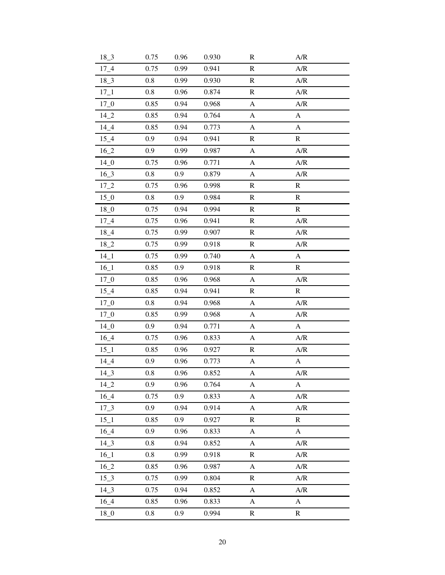| $18 - 3$        | 0.75    | 0.96 | 0.930 | R                         | A/R          |
|-----------------|---------|------|-------|---------------------------|--------------|
| $17_{-}4$       | 0.75    | 0.99 | 0.941 | ${\bf R}$                 | A/R          |
| $18 - 3$        | 0.8     | 0.99 | 0.930 | ${\bf R}$                 | A/R          |
| $17\_1$         | 0.8     | 0.96 | 0.874 | $\mathbf R$               | A/R          |
| $17 - 0$        | 0.85    | 0.94 | 0.968 | $\mathbf{A}$              | A/R          |
| $14_{2}$        | 0.85    | 0.94 | 0.764 | $\mathbf{A}$              | $\mathbf{A}$ |
| $14_4$          | 0.85    | 0.94 | 0.773 | A                         | $\mathbf{A}$ |
| $15\_4$         | 0.9     | 0.94 | 0.941 | $\mathbf R$               | $\mathbf R$  |
| 16 2            | 0.9     | 0.99 | 0.987 | $\mathbf{A}$              | A/R          |
| $14\_0$         | 0.75    | 0.96 | 0.771 | A                         | A/R          |
| $16_{-}3$       | 0.8     | 0.9  | 0.879 | $\mathbf{A}$              | A/R          |
| $17 - 2$        | 0.75    | 0.96 | 0.998 | ${\bf R}$                 | ${\bf R}$    |
| $15_{.0}$       | 0.8     | 0.9  | 0.984 | ${\bf R}$                 | ${\bf R}$    |
| 18 <sub>0</sub> | 0.75    | 0.94 | 0.994 | $\mathbb{R}$              | $\mathbb{R}$ |
| $17\_4$         | 0.75    | 0.96 | 0.941 | ${\bf R}$                 | A/R          |
| $18_{-}4$       | 0.75    | 0.99 | 0.907 | ${\bf R}$                 | A/R          |
| 18 2            | 0.75    | 0.99 | 0.918 | ${\bf R}$                 | A/R          |
| $14\_1$         | 0.75    | 0.99 | 0.740 | A                         | A            |
| $16\_1$         | 0.85    | 0.9  | 0.918 | ${\mathbb R}$             | $\mathbf R$  |
| $17 - 0$        | 0.85    | 0.96 | 0.968 | A                         | A/R          |
| $15\_4$         | 0.85    | 0.94 | 0.941 | $\mathbb{R}$              | $\mathbb{R}$ |
| $17\_0$         | 0.8     | 0.94 | 0.968 | $\boldsymbol{\mathsf{A}}$ | A/R          |
| $17 - 0$        | 0.85    | 0.99 | 0.968 | A                         | A/R          |
| $14_{-0}$       | 0.9     | 0.94 | 0.771 | A                         | A            |
| $16\_4$         | 0.75    | 0.96 | 0.833 | A                         | A/R          |
| $15\_1$         | 0.85    | 0.96 | 0.927 |                           |              |
| $14_{-}4$       |         |      |       | $\mathbf R$               | A/R          |
|                 | 0.9     | 0.96 | 0.773 | A                         | A            |
| $14 - 3$        | 0.8     | 0.96 | 0.852 | A                         | A/R          |
| $14_{2}$        | 0.9     | 0.96 | 0.764 | A                         | A            |
| $16_4$          | 0.75    | 0.9  | 0.833 | A                         | A/R          |
| $17 - 3$        | 0.9     | 0.94 | 0.914 | A                         | A/R          |
| $15\_1$         | 0.85    | 0.9  | 0.927 | $\mathbf R$               | $\mathbf R$  |
| $16_4$          | 0.9     | 0.96 | 0.833 | A                         | A            |
| $14-3$          | 0.8     | 0.94 | 0.852 | A                         | A/R          |
| $16\_1$         | $0.8\,$ | 0.99 | 0.918 | ${\mathbb R}$             | A/R          |
| $16_{2}$        | 0.85    | 0.96 | 0.987 | A                         | A/R          |
| $15 - 3$        | 0.75    | 0.99 | 0.804 | R                         | A/R          |
| $14_{-}3$       | 0.75    | 0.94 | 0.852 | $\mathbf{A}$              | A/R          |
| $16_4$          | 0.85    | 0.96 | 0.833 | A                         | $\mathbf{A}$ |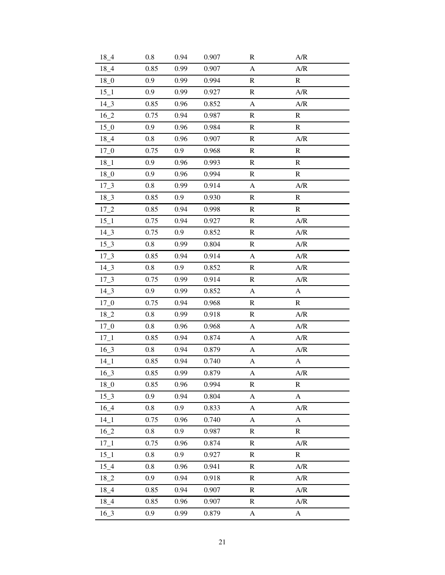| $18_{-}4$       | 0.8     | 0.94 | 0.907 | R             | A/R                                                             |
|-----------------|---------|------|-------|---------------|-----------------------------------------------------------------|
| $18_{-}4$       | 0.85    | 0.99 | 0.907 | A             | $\ensuremath{\mathrm{A}}\xspace/\ensuremath{\mathrm{R}}\xspace$ |
| $18_{-0}$       | 0.9     | 0.99 | 0.994 | ${\bf R}$     | $\mathbf R$                                                     |
| $15\_1$         | 0.9     | 0.99 | 0.927 | $\mathbf R$   | A/R                                                             |
| $14 - 3$        | 0.85    | 0.96 | 0.852 | $\mathbf{A}$  | A/R                                                             |
| $16_{-2}$       | 0.75    | 0.94 | 0.987 | R             | ${\bf R}$                                                       |
| $15\_0$         | 0.9     | 0.96 | 0.984 | $\mathbf R$   | $\mathbb{R}$                                                    |
| $18_{-}4$       | 0.8     | 0.96 | 0.907 | $\mathbb{R}$  | A/R                                                             |
| $17\_0$         | 0.75    | 0.9  | 0.968 | $\mathbb{R}$  | $\mathbb{R}$                                                    |
| $18 - 1$        | 0.9     | 0.96 | 0.993 | $\mathbf R$   | ${\bf R}$                                                       |
| $18_{-0}$       | 0.9     | 0.96 | 0.994 | $\mathbb{R}$  | ${\bf R}$                                                       |
| $17 - 3$        | $0.8\,$ | 0.99 | 0.914 | $\mathbf{A}$  | A/R                                                             |
| $18 - 3$        | 0.85    | 0.9  | 0.930 | $\mathbf R$   | $\mathbf R$                                                     |
| $17_{-2}$       | 0.85    | 0.94 | 0.998 | $\mathbb{R}$  | $\mathbf R$                                                     |
| $15\_1$         | 0.75    | 0.94 | 0.927 | $\mathbf R$   | A/R                                                             |
| $14_{-}3$       | 0.75    | 0.9  | 0.852 | $\mathbf R$   | A/R                                                             |
| $15 - 3$        | 0.8     | 0.99 | 0.804 | ${\bf R}$     | A/R                                                             |
| $17 - 3$        | 0.85    | 0.94 | 0.914 | A             | A/R                                                             |
| $14_{-}3$       | 0.8     | 0.9  | 0.852 | $\mathbf R$   | A/R                                                             |
| $17 - 3$        | 0.75    | 0.99 | 0.914 | $\mathbb{R}$  | A/R                                                             |
| $14\_3$         | 0.9     | 0.99 | 0.852 | A             | A                                                               |
| $17\_0$         | 0.75    | 0.94 | 0.968 | $\mathbf R$   | ${\bf R}$                                                       |
| $18_{-2}$       | 0.8     | 0.99 | 0.918 | $\mathbf R$   | A/R                                                             |
| $17_{-0}$       | $0.8\,$ | 0.96 | 0.968 | A             | A/R                                                             |
| $17\_1$         | 0.85    | 0.94 | 0.874 | A             | A/R                                                             |
| $16 - 3$        | 0.8     | 0.94 | 0.879 | A             | A/R                                                             |
| $14\_1$         | 0.85    | 0.94 | 0.740 | A             | A                                                               |
| $16_{-}3$       | 0.85    |      |       |               |                                                                 |
| 18 <sub>0</sub> |         | 0.99 | 0.879 | A             | $\ensuremath{\mathrm{A/R}}$                                     |
|                 | 0.85    | 0.96 | 0.994 | $\mathbb{R}$  | $\mathbb{R}$                                                    |
| $15 - 3$        | 0.9     | 0.94 | 0.804 | A             | $\boldsymbol{\rm{A}}$                                           |
| $16_4$          | $0.8\,$ | 0.9  | 0.833 | A             | A/R                                                             |
| 14 1            | 0.75    | 0.96 | 0.740 | A             | A                                                               |
| $16_{-2}$       | 0.8     | 0.9  | 0.987 | R             | $\mathbf R$                                                     |
| $17\_1$         | 0.75    | 0.96 | 0.874 | $\mathbb{R}$  | A/R                                                             |
| $15\_1$         | 0.8     | 0.9  | 0.927 | ${\mathbb R}$ | ${\bf R}$                                                       |
| $15\_4$         | 0.8     | 0.96 | 0.941 | R             | A/R                                                             |
| $18_{-2}$       | 0.9     | 0.94 | 0.918 | R             | A/R                                                             |
| $18_{-}4$       | 0.85    | 0.94 | 0.907 | $\mathbb{R}$  | A/R                                                             |
| $18_{-}4$       | 0.85    | 0.96 | 0.907 | $\mathbf R$   | A/R                                                             |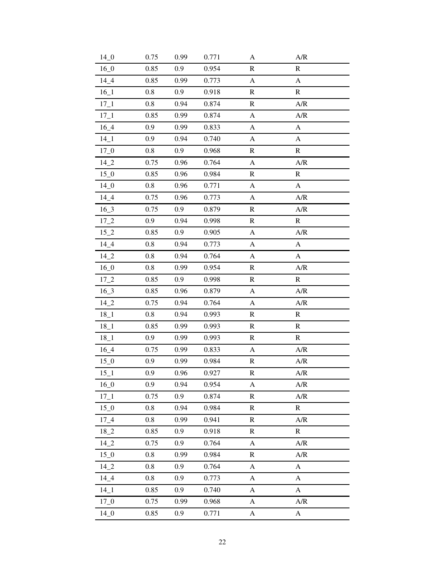| 14 <sub>0</sub> | 0.75    | 0.99 | 0.771 | A                     | A/R                                                             |
|-----------------|---------|------|-------|-----------------------|-----------------------------------------------------------------|
| $16_0$          | 0.85    | 0.9  | 0.954 | R                     | ${\bf R}$                                                       |
| $14 - 4$        | 0.85    | 0.99 | 0.773 | $\mathbf{A}$          | $\boldsymbol{\mathsf{A}}$                                       |
| $16\_1$         | 0.8     | 0.9  | 0.918 | $\mathbf R$           | ${\bf R}$                                                       |
| $17 - 1$        | 0.8     | 0.94 | 0.874 | $\mathbb{R}$          | A/R                                                             |
| $17 - 1$        | 0.85    | 0.99 | 0.874 | $\mathbf{A}$          | A/R                                                             |
| $16_4$          | 0.9     | 0.99 | 0.833 | A                     | $\boldsymbol{\rm{A}}$                                           |
| $14\_1$         | 0.9     | 0.94 | 0.740 | A                     | A                                                               |
| $17 - 0$        | 0.8     | 0.9  | 0.968 | $\mathbf R$           | $\mathbb{R}$                                                    |
| $14_{-2}$       | 0.75    | 0.96 | 0.764 | A                     | A/R                                                             |
| $15\_0$         | 0.85    | 0.96 | 0.984 | $\mathbb{R}$          | $\mathbb{R}$                                                    |
| $14-0$          | $0.8\,$ | 0.96 | 0.771 | $\mathbf{A}$          | $\mathbf{A}$                                                    |
| $14_4$          | 0.75    | 0.96 | 0.773 | $\boldsymbol{\rm{A}}$ | A/R                                                             |
| $16_{-}3$       | 0.75    | 0.9  | 0.879 | $\mathbb{R}$          | A/R                                                             |
| $17_{-2}$       | 0.9     | 0.94 | 0.998 | $\mathbf R$           | $\mathbf R$                                                     |
| $15_{-2}$       | 0.85    | 0.9  | 0.905 | A                     | $\ensuremath{\mathrm{A}}\xspace/\ensuremath{\mathrm{R}}\xspace$ |
| $14_{-}4$       | 0.8     | 0.94 | 0.773 | A                     | A                                                               |
| $14_{-2}$       | 0.8     | 0.94 | 0.764 | A                     | A                                                               |
| $16_0$          | 0.8     | 0.99 | 0.954 | $\mathbf R$           | A/R                                                             |
| $17_{-2}$       | 0.85    | 0.9  | 0.998 | $\mathbb{R}$          | ${\bf R}$                                                       |
| $16_{-}3$       | 0.85    | 0.96 | 0.879 | A                     | A/R                                                             |
| $14_{-2}$       | 0.75    | 0.94 | 0.764 | $\mathbf{A}$          | A/R                                                             |
| $18_{-1}$       | 0.8     | 0.94 | 0.993 | $\mathbf R$           | $\mathbb{R}$                                                    |
| $18_{-1}$       | 0.85    | 0.99 | 0.993 | $\mathbb{R}$          | $\mathbb{R}$                                                    |
| $18_{-1}$       | 0.9     | 0.99 | 0.993 | ${\bf R}$             | $\mathbb{R}$                                                    |
| $16_{-}4$       | 0.75    | 0.99 | 0.833 | A                     | A/R                                                             |
| $15\_0$         | 0.9     | 0.99 | 0.984 | $\mathbf R$           | A/R                                                             |
| $15\_1$         | 0.9     | 0.96 | 0.927 | $\mathbf R$           | A/R                                                             |
| $16_{-}0$       | 0.9     | 0.94 | 0.954 | A                     | A/R                                                             |
| $17\_1$         | 0.75    | 0.9  | 0.874 | $\mathbb{R}$          | A/R                                                             |
| $15\_0$         | $0.8\,$ | 0.94 | 0.984 | $\mathbf R$           | $\mathbf R$                                                     |
| $17\_4$         | 0.8     | 0.99 | 0.941 | $\mathbf R$           | A/R                                                             |
| $18_{-2}$       | 0.85    | 0.9  | 0.918 | $\mathbb{R}$          | $\mathbf R$                                                     |
| $14_{-2}$       | 0.75    | 0.9  | 0.764 | A                     | A/R                                                             |
| $15\_0$         | 0.8     | 0.99 | 0.984 | $\mathbf R$           | $\ensuremath{\mathrm{A}}\xspace/\ensuremath{\mathrm{R}}\xspace$ |
| $14_{2}$        | 0.8     | 0.9  | 0.764 | A                     | A                                                               |
| $14_4$          | 0.8     | 0.9  | 0.773 | A                     | A                                                               |
| $14 - 1$        | 0.85    | 0.9  | 0.740 | A                     | $\boldsymbol{A}$                                                |
| 17 <sub>0</sub> | 0.75    | 0.99 | 0.968 | A                     | A/R                                                             |
| 14 <sub>0</sub> | 0.85    | 0.9  | 0.771 | A                     | $\mathbf A$                                                     |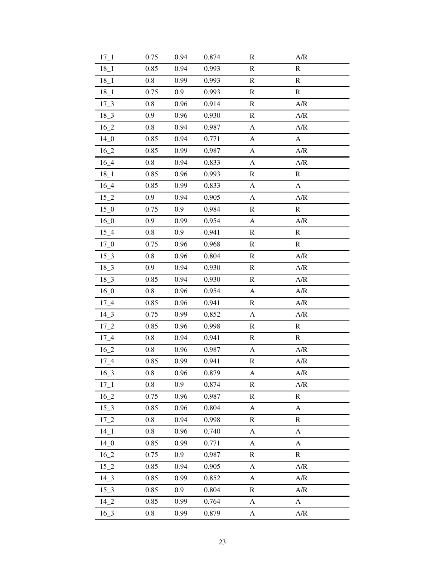| $17\_1$   | 0.75    | 0.94 | 0.874 | $\mathbf R$           | A/R                         |
|-----------|---------|------|-------|-----------------------|-----------------------------|
| $18_{-1}$ | 0.85    | 0.94 | 0.993 | ${\bf R}$             | ${\bf R}$                   |
| $18_{-1}$ | 0.8     | 0.99 | 0.993 | ${\bf R}$             | ${\bf R}$                   |
| $18_{-1}$ | 0.75    | 0.9  | 0.993 | $\mathbf R$           | ${\bf R}$                   |
| $17\_3$   | 0.8     | 0.96 | 0.914 | $\mathbf R$           | A/R                         |
| $18 - 3$  | 0.9     | 0.96 | 0.930 | R                     | A/R                         |
| $16_{-2}$ | 0.8     | 0.94 | 0.987 | A                     | A/R                         |
| $14-0$    | 0.85    | 0.94 | 0.771 | A                     | A                           |
| $16_{-2}$ | 0.85    | 0.99 | 0.987 | A                     | A/R                         |
| $16_4$    | 0.8     | 0.94 | 0.833 | A                     | A/R                         |
| $18_{-1}$ | 0.85    | 0.96 | 0.993 | $\mathbb{R}$          | ${\mathbb R}$               |
| $16_4$    | 0.85    | 0.99 | 0.833 | $\mathbf{A}$          | $\mathbf{A}$                |
| $15_{-2}$ | 0.9     | 0.94 | 0.905 | $\boldsymbol{\rm{A}}$ | A/R                         |
| $15\_0$   | 0.75    | 0.9  | 0.984 | $\mathbb{R}$          | $\mathbf R$                 |
| $16_0$    | 0.9     | 0.99 | 0.954 | A                     | A/R                         |
| $15\_4$   | 0.8     | 0.9  | 0.941 | ${\bf R}$             | $\mathbf R$                 |
| $17 - 0$  | 0.75    | 0.96 | 0.968 | ${\bf R}$             | ${\bf R}$                   |
| $15 - 3$  | 0.8     | 0.96 | 0.804 | $\mathbf R$           | A/R                         |
| $18 - 3$  | 0.9     | 0.94 | 0.930 | ${\bf R}$             | A/R                         |
| $18_{-}3$ | 0.85    | 0.94 | 0.930 | $\mathbb{R}$          | A/R                         |
| $16_0$    | $0.8\,$ | 0.96 | 0.954 | A                     | A/R                         |
| $17\_4$   | 0.85    | 0.96 | 0.941 | $\mathbf R$           | A/R                         |
| $14\_3$   | 0.75    | 0.99 | 0.852 | A                     | A/R                         |
| $17_{-2}$ | 0.85    | 0.96 | 0.998 | $\mathbb{R}$          | $\mathbb{R}$                |
| $17\_4$   | 0.8     | 0.94 | 0.941 | $\mathbb{R}$          | $\mathbb{R}$                |
| $16_{-2}$ | 0.8     | 0.96 | 0.987 | A                     | A/R                         |
| $17\_4$   | 0.85    | 0.99 | 0.941 | ${\mathbb R}$         | A/R                         |
| $16 - 3$  | $0.8\,$ | 0.96 | 0.879 | $\boldsymbol{A}$      | A/R                         |
| $17 - 1$  | 0.8     | 0.9  | 0.874 | $\mathbb{R}$          | A/R                         |
| $16_{-2}$ | 0.75    | 0.96 | 0.987 | $\mathbb{R}$          | ${\mathbb R}$               |
| $15 - 3$  | 0.85    | 0.96 | 0.804 | $\mathbf{A}$          | $\boldsymbol{\rm{A}}$       |
| $17 - 2$  | 0.8     | 0.94 | 0.998 | $\mathbf R$           | $\mathbf R$                 |
| $14 - 1$  | 0.8     | 0.96 | 0.740 | A                     | A                           |
| $14_{-0}$ | 0.85    | 0.99 | 0.771 | A                     | A                           |
| $16_{-2}$ | 0.75    | 0.9  | 0.987 | $\mathbf R$           | ${\bf R}$                   |
| $15_{-2}$ | 0.85    | 0.94 | 0.905 | A                     | A/R                         |
| $14\_3$   | 0.85    | 0.99 | 0.852 | A                     | A/R                         |
| $15 - 3$  | 0.85    | 0.9  | 0.804 | $\mathbf R$           | $\ensuremath{\mathrm{A/R}}$ |
| $14_{2}$  | 0.85    | 0.99 | 0.764 | A                     | $\mathbf{A}$                |
| $16 - 3$  | $0.8\,$ | 0.99 | 0.879 | A                     | A/R                         |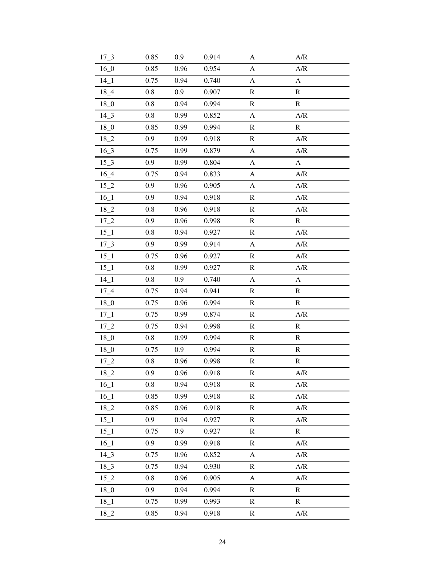| $17 - 3$  | 0.85    | 0.9  | 0.914 | A                         | A/R                   |
|-----------|---------|------|-------|---------------------------|-----------------------|
| $16_{-}0$ | 0.85    | 0.96 | 0.954 | A                         | A/R                   |
| $14\_1$   | 0.75    | 0.94 | 0.740 | $\mathbf{A}$              | $\boldsymbol{A}$      |
| $18_{-}4$ | 0.8     | 0.9  | 0.907 | $\mathbf R$               | $\mathbf R$           |
| $18_0$    | 0.8     | 0.94 | 0.994 | $\mathbf R$               | $\mathbf R$           |
| $14\_3$   | 0.8     | 0.99 | 0.852 | $\boldsymbol{\mathsf{A}}$ | A/R                   |
| $18_{-0}$ | 0.85    | 0.99 | 0.994 | ${\bf R}$                 | ${\bf R}$             |
| $18_{-2}$ | 0.9     | 0.99 | 0.918 | $\mathbf R$               | A/R                   |
| $16_{-}3$ | 0.75    | 0.99 | 0.879 | $\mathbf{A}$              | A/R                   |
| $15 - 3$  | 0.9     | 0.99 | 0.804 | A                         | $\boldsymbol{\rm{A}}$ |
| $16_4$    | 0.75    | 0.94 | 0.833 | A                         | A/R                   |
| $15_{-2}$ | 0.9     | 0.96 | 0.905 | A                         | A/R                   |
| $16_1$    | 0.9     | 0.94 | 0.918 | $\mathbf R$               | A/R                   |
| $18_{-2}$ | 0.8     | 0.96 | 0.918 | $\mathbf R$               | A/R                   |
| $17_{-2}$ | 0.9     | 0.96 | 0.998 | ${\bf R}$                 | ${\bf R}$             |
| $15\_1$   | 0.8     | 0.94 | 0.927 | $\mathbf R$               | A/R                   |
| $17 - 3$  | 0.9     | 0.99 | 0.914 | $\mathbf{A}$              | A/R                   |
| $15\_1$   | 0.75    | 0.96 | 0.927 | $\mathbf R$               | A/R                   |
| $15\_1$   | 0.8     | 0.99 | 0.927 | ${\bf R}$                 | A/R                   |
| $14\_1$   | 0.8     | 0.9  | 0.740 | A                         | $\mathbf{A}$          |
| $17_{-}4$ | 0.75    | 0.94 | 0.941 | $\mathbf R$               | $\mathbb{R}$          |
| $18_{-0}$ | 0.75    | 0.96 | 0.994 | ${\bf R}$                 | ${\bf R}$             |
| $17\_1$   | 0.75    | 0.99 | 0.874 | $\mathbb{R}$              | A/R                   |
| $17_{-2}$ | 0.75    | 0.94 | 0.998 | $\mathbb{R}$              | $\mathbf R$           |
| $18_0$    | 0.8     | 0.99 | 0.994 | ${\bf R}$                 | ${\bf R}$             |
| $18_{-0}$ | 0.75    | 0.9  | 0.994 | $\mathbf R$               | $\mathbf R$           |
| $17_{-2}$ | 0.8     | 0.96 | 0.998 | ${\mathbb R}$             | ${\bf R}$             |
| $18_{-2}$ | 0.9     | 0.96 | 0.918 | ${\bf R}$                 | A/R                   |
| $16\_1$   | 0.8     | 0.94 | 0.918 | $\mathbf R$               | A/R                   |
| $16_1$    | 0.85    | 0.99 | 0.918 | $\mathbb{R}$              | A/R                   |
| $18_{-2}$ | 0.85    | 0.96 | 0.918 | $\mathbf R$               | A/R                   |
| $15\_1$   | 0.9     | 0.94 | 0.927 | $\mathbb{R}$              | A/R                   |
| $15 - 1$  | 0.75    | 0.9  | 0.927 | $\mathbf R$               | ${\mathbb R}$         |
| $16_1$    | 0.9     | 0.99 | 0.918 | $\mathbf R$               | A/R                   |
| $14_{-}3$ | 0.75    | 0.96 | 0.852 | A                         | A/R                   |
| $18_{-}3$ | 0.75    | 0.94 | 0.930 | R                         | A/R                   |
| $15_{-2}$ | $0.8\,$ | 0.96 | 0.905 | A                         | A/R                   |
| $18_{-0}$ | 0.9     | 0.94 | 0.994 | ${\mathbb R}$             | ${\bf R}$             |
| $18_{-1}$ | 0.75    | 0.99 | 0.993 | R                         | ${\bf R}$             |
| $18_{-2}$ | 0.85    | 0.94 | 0.918 | R                         | A/R                   |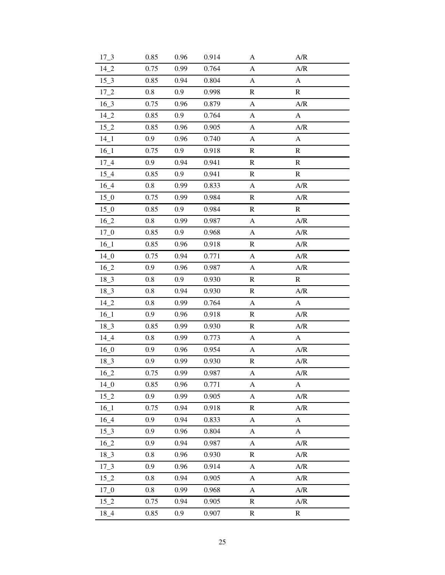| $17 - 3$  | 0.85    | 0.96 | 0.914 | A                         | A/R                       |
|-----------|---------|------|-------|---------------------------|---------------------------|
| $14_{-2}$ | 0.75    | 0.99 | 0.764 | A                         | A/R                       |
| $15 - 3$  | 0.85    | 0.94 | 0.804 | $\mathbf{A}$              | $\mathbf{A}$              |
| $17_{-2}$ | $0.8\,$ | 0.9  | 0.998 | $\mathbf R$               | ${\bf R}$                 |
| $16_3$    | 0.75    | 0.96 | 0.879 | A                         | A/R                       |
| $14_{-2}$ | 0.85    | 0.9  | 0.764 | $\mathbf{A}$              | $\boldsymbol{A}$          |
| $15_{-2}$ | 0.85    | 0.96 | 0.905 | A                         | A/R                       |
| $14\_1$   | 0.9     | 0.96 | 0.740 | A                         | A                         |
| $16\_1$   | 0.75    | 0.9  | 0.918 | $\mathbf R$               | ${\bf R}$                 |
| $17\_4$   | 0.9     | 0.94 | 0.941 | $\mathbf R$               | ${\mathbb R}$             |
| $15\_4$   | 0.85    | 0.9  | 0.941 | $\mathbb{R}$              | $\mathbf R$               |
| $16_4$    | $0.8\,$ | 0.99 | 0.833 | $\mathbf{A}$              | A/R                       |
| $15_{.0}$ | 0.75    | 0.99 | 0.984 | $\mathbf R$               | A/R                       |
| $15\_0$   | 0.85    | 0.9  | 0.984 | $\mathbb{R}$              | $\mathbf R$               |
| $16_{-2}$ | $0.8\,$ | 0.99 | 0.987 | A                         | A/R                       |
| $17\_0$   | 0.85    | 0.9  | 0.968 | A                         | A/R                       |
| 16 1      | 0.85    | 0.96 | 0.918 | $\mathbf R$               | A/R                       |
| $14_{-0}$ | 0.75    | 0.94 | 0.771 | A                         | A/R                       |
| $16_{-2}$ | 0.9     | 0.96 | 0.987 | $\boldsymbol{\rm{A}}$     | A/R                       |
| $18 - 3$  | 0.8     | 0.9  | 0.930 | $\mathbb{R}$              | ${\bf R}$                 |
| $18 - 3$  | 0.8     | 0.94 | 0.930 | $\mathbb{R}$              | A/R                       |
| $14_{-2}$ | 0.8     | 0.99 | 0.764 | $\boldsymbol{\mathsf{A}}$ | $\boldsymbol{\mathsf{A}}$ |
| $16\_1$   | 0.9     | 0.96 | 0.918 | $\mathbf R$               | A/R                       |
| $18 - 3$  | 0.85    | 0.99 | 0.930 | $\mathbb{R}$              | A/R                       |
| $14_4$    | 0.8     | 0.99 | 0.773 | A                         | A                         |
| $16_{-}0$ | 0.9     | 0.96 | 0.954 | A                         | A/R                       |
| $18 - 3$  | 0.9     | 0.99 | 0.930 | ${\mathbb R}$             | A/R                       |
| $16_{-2}$ | 0.75    | 0.99 | 0.987 | $\boldsymbol{A}$          | A/R                       |
| $14\_0$   | 0.85    | 0.96 | 0.771 | A                         | A                         |
| $15_{-2}$ | 0.9     | 0.99 | 0.905 | A                         | A/R                       |
| $16\_1$   | 0.75    | 0.94 | 0.918 | $\mathbf R$               | A/R                       |
| 16 4      | 0.9     | 0.94 | 0.833 | A                         | A                         |
| $15_{-}3$ | 0.9     | 0.96 | 0.804 | A                         | A                         |
| $16_{-2}$ | 0.9     | 0.94 | 0.987 | A                         | A/R                       |
| $18 - 3$  | 0.8     | 0.96 | 0.930 | $\mathbf R$               | A/R                       |
| $17_{-}3$ | 0.9     | 0.96 | 0.914 | A                         | A/R                       |
| $15_{-2}$ | 0.8     | 0.94 | 0.905 | A                         | A/R                       |
| $17_{-0}$ | $0.8\,$ | 0.99 | 0.968 | A                         | A/R                       |
| $15_{-2}$ | 0.75    | 0.94 | 0.905 | $\mathbf R$               | A/R                       |
| $18_{-}4$ | 0.85    | 0.9  | 0.907 | ${\bf R}$                 | ${\bf R}$                 |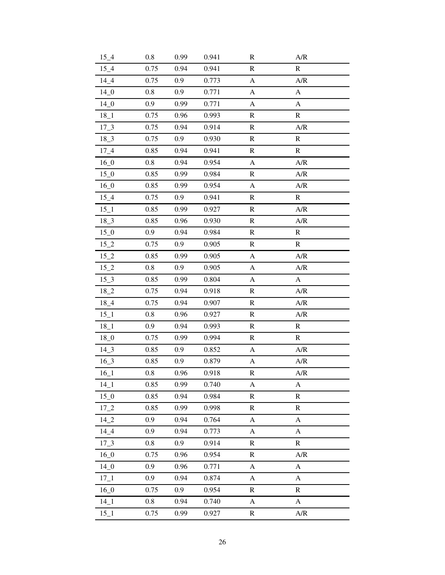| $15\_4$         | 0.8     | 0.99 | 0.941 | $\mathbf R$               | A/R                   |
|-----------------|---------|------|-------|---------------------------|-----------------------|
| $15\_4$         | 0.75    | 0.94 | 0.941 | $\mathbf R$               | $\mathbf R$           |
| $14_4$          | 0.75    | 0.9  | 0.773 | $\boldsymbol{\mathsf{A}}$ | A/R                   |
| 14 <sub>0</sub> | 0.8     | 0.9  | 0.771 | A                         | A                     |
| $14_{-0}$       | 0.9     | 0.99 | 0.771 | A                         | A                     |
| $18_{-1}$       | 0.75    | 0.96 | 0.993 | $\mathbf R$               | ${\bf R}$             |
| $17 - 3$        | 0.75    | 0.94 | 0.914 | ${\bf R}$                 | A/R                   |
| $18 - 3$        | 0.75    | 0.9  | 0.930 | $\mathbb{R}$              | ${\bf R}$             |
| $17 - 4$        | 0.85    | 0.94 | 0.941 | R                         | $\mathbb{R}$          |
| $16_0$          | 0.8     | 0.94 | 0.954 | A                         | A/R                   |
| $15\_0$         | 0.85    | 0.99 | 0.984 | $\mathbf R$               | A/R                   |
| $16_{-}0$       | 0.85    | 0.99 | 0.954 | $\mathbf{A}$              | A/R                   |
| $15\_4$         | 0.75    | 0.9  | 0.941 | $\mathbf R$               | ${\bf R}$             |
| $15\_1$         | 0.85    | 0.99 | 0.927 | $\mathbb{R}$              | A/R                   |
| $18 - 3$        | 0.85    | 0.96 | 0.930 | ${\bf R}$                 | A/R                   |
| $15\_0$         | 0.9     | 0.94 | 0.984 | $\mathbf R$               | ${\bf R}$             |
| $15_{-2}$       | 0.75    | 0.9  | 0.905 | $\mathbb{R}$              | $\mathbf R$           |
| $15_{-2}$       | 0.85    | 0.99 | 0.905 | A                         | A/R                   |
| $15_{-2}$       | $0.8\,$ | 0.9  | 0.905 | A                         | A/R                   |
| $15 - 3$        | 0.85    | 0.99 | 0.804 | A                         | A                     |
| $18_{-2}$       | 0.75    | 0.94 | 0.918 | $\mathbf R$               | A/R                   |
| $18_{-}4$       | 0.75    | 0.94 | 0.907 | ${\bf R}$                 | A/R                   |
| $15\_1$         | 0.8     | 0.96 | 0.927 | $\mathbb{R}$              | A/R                   |
| $18_{-1}$       | 0.9     | 0.94 | 0.993 | $\mathbb{R}$              | ${\bf R}$             |
| $18_{-0}$       | 0.75    | 0.99 | 0.994 | ${\bf R}$                 | ${\bf R}$             |
| $14\_3$         | 0.85    | 0.9  | 0.852 | A                         | A/R                   |
| $16 - 3$        | 0.85    | 0.9  | 0.879 | A                         | A/R                   |
| $16\_1$         | 0.8     | 0.96 | 0.918 | ${\mathbb R}$             | A/R                   |
| $14 - 1$        | 0.85    | 0.99 | 0.740 | A                         | A                     |
| $15_{.0}$       | 0.85    | 0.94 | 0.984 | ${\mathbb R}$             | $\mathbf R$           |
| $17_{-2}$       | 0.85    | 0.99 | 0.998 | $\mathbf R$               | ${\bf R}$             |
| $14_{2}$        | 0.9     | 0.94 | 0.764 | A                         | A                     |
| $14_{-}4$       | 0.9     | 0.94 | 0.773 | A                         | $\boldsymbol{\rm{A}}$ |
| $17 - 3$        | $0.8\,$ | 0.9  | 0.914 | $\mathbf R$               | ${\bf R}$             |
| $16_0$          | 0.75    | 0.96 | 0.954 | $\mathbf R$               | A/R                   |
| 14 <sub>0</sub> | 0.9     | 0.96 | 0.771 | A                         | A                     |
| $17\_1$         | 0.9     | 0.94 | 0.874 | A                         | A                     |
| $16_0$          | 0.75    | 0.9  | 0.954 | $\mathbf R$               | ${\bf R}$             |
| $14 - 1$        | 0.8     | 0.94 | 0.740 | A                         | $\mathbf{A}$          |
| $15\_1$         | 0.75    | 0.99 | 0.927 | R                         | A/R                   |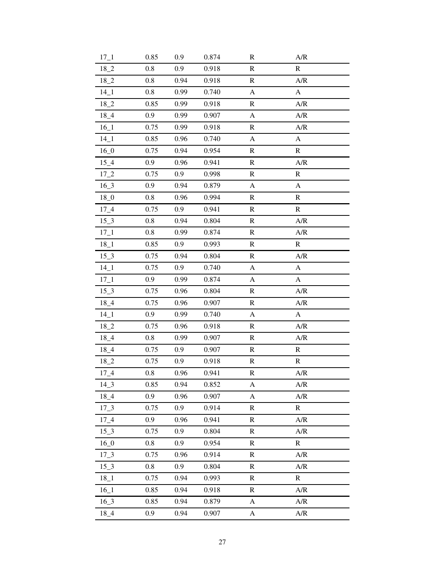| $17 - 1$        | 0.85    | 0.9  | 0.874 | $\mathbf R$               | A/R                       |
|-----------------|---------|------|-------|---------------------------|---------------------------|
| $18_{-2}$       | 0.8     | 0.9  | 0.918 | ${\bf R}$                 | ${\bf R}$                 |
| $18_{-2}$       | 0.8     | 0.94 | 0.918 | ${\bf R}$                 | A/R                       |
| $14\_1$         | 0.8     | 0.99 | 0.740 | $\mathbf{A}$              | A                         |
| $18_{-2}$       | 0.85    | 0.99 | 0.918 | $\mathbf R$               | A/R                       |
| $18_{-}4$       | 0.9     | 0.99 | 0.907 | $\boldsymbol{\mathsf{A}}$ | A/R                       |
| $16\_1$         | 0.75    | 0.99 | 0.918 | ${\bf R}$                 | A/R                       |
| $14\_1$         | 0.85    | 0.96 | 0.740 | $\mathbf{A}$              | A                         |
| $16_0$          | 0.75    | 0.94 | 0.954 | R                         | ${\bf R}$                 |
| $15\_4$         | 0.9     | 0.96 | 0.941 | $\mathbf R$               | A/R                       |
| $17_{-2}$       | 0.75    | 0.9  | 0.998 | $\mathbb{R}$              | $\mathbf R$               |
| $16_3$          | 0.9     | 0.94 | 0.879 | $\mathbf{A}$              | $\boldsymbol{\mathsf{A}}$ |
| 18 <sub>0</sub> | 0.8     | 0.96 | 0.994 | $\mathbf R$               | $\mathbb{R}$              |
| $17\_4$         | 0.75    | 0.9  | 0.941 | $\mathbf R$               | $\mathbb{R}$              |
| $15 - 3$        | 0.8     | 0.94 | 0.804 | $\mathbb{R}$              | A/R                       |
| $17\_1$         | 0.8     | 0.99 | 0.874 | $\mathbb{R}$              | A/R                       |
| $18_{-}1$       | 0.85    | 0.9  | 0.993 | $\mathbf R$               | ${\mathbb R}$             |
| $15 - 3$        | 0.75    | 0.94 | 0.804 | ${\bf R}$                 | A/R                       |
| $14\_1$         | 0.75    | 0.9  | 0.740 | A                         | $\boldsymbol{A}$          |
| $17\_1$         | 0.9     | 0.99 | 0.874 | A                         | A                         |
| $15 - 3$        | 0.75    | 0.96 | 0.804 | $\mathbf R$               | A/R                       |
| $18_{-}4$       | 0.75    | 0.96 | 0.907 | ${\mathbb R}$             | A/R                       |
| $14\_1$         | 0.9     | 0.99 | 0.740 | A                         | A                         |
| $18_{-2}$       | 0.75    | 0.96 | 0.918 | $\mathbb{R}$              | A/R                       |
| $18_{-}4$       | 0.8     | 0.99 | 0.907 | ${\bf R}$                 | A/R                       |
| $18_{-}4$       | 0.75    | 0.9  | 0.907 | $\mathbb{R}$              | $\mathbb{R}$              |
| $18_{-2}$       | 0.75    | 0.9  | 0.918 | $\mathbb R$               | $\mathbb{R}$              |
| $17_{-}4$       | 0.8     | 0.96 | 0.941 | ${\bf R}$                 | A/R                       |
| $14-3$          | 0.85    | 0.94 | 0.852 | A                         | A/R                       |
| $18_{-}4$       | 0.9     | 0.96 | 0.907 | $\mathbf{A}$              | A/R                       |
| $17_{-}3$       | 0.75    | 0.9  | 0.914 | $\mathbf R$               | ${\bf R}$                 |
| $17\_4$         | 0.9     | 0.96 | 0.941 | $\mathbb{R}$              | A/R                       |
| $15 - 3$        | 0.75    | 0.9  | 0.804 | $\mathbf R$               | A/R                       |
| $16_0$          | $0.8\,$ | 0.9  | 0.954 | ${\bf R}$                 | $\mathbf R$               |
| $17_{-}3$       | 0.75    | 0.96 | 0.914 | $\mathbf R$               | A/R                       |
| 15 3            | 0.8     | 0.9  | 0.804 | $\mathbf R$               | A/R                       |
| $18_{-1}$       | 0.75    | 0.94 | 0.993 | ${\bf R}$                 | ${\bf R}$                 |
| $16\_1$         | 0.85    | 0.94 | 0.918 | ${\mathbb R}$             | A/R                       |
| $16_{-}3$       | 0.85    | 0.94 | 0.879 | A                         | A/R                       |
| $18_{-}4$       | 0.9     | 0.94 | 0.907 | A                         | A/R                       |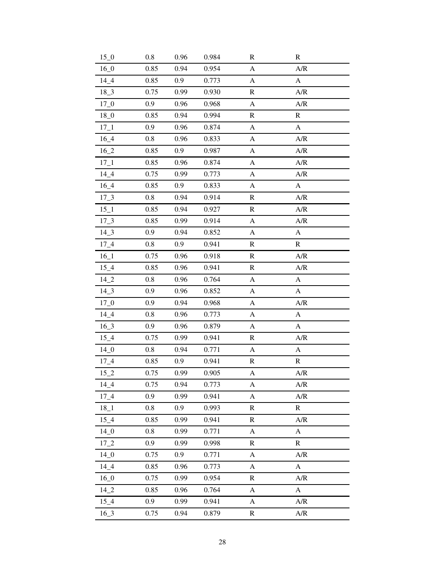| $15\_0$         | 0.8     | 0.96 | 0.984 | $\mathbf R$           | $\mathbf R$           |
|-----------------|---------|------|-------|-----------------------|-----------------------|
| $16_{-}0$       | 0.85    | 0.94 | 0.954 | $\mathbf{A}$          | A/R                   |
| 14 4            | 0.85    | 0.9  | 0.773 | $\mathbf{A}$          | $\boldsymbol{A}$      |
| $18_{-}3$       | 0.75    | 0.99 | 0.930 | $\mathbf R$           | A/R                   |
| $17\_0$         | 0.9     | 0.96 | 0.968 | A                     | A/R                   |
| $18_0$          | 0.85    | 0.94 | 0.994 | $\mathbf R$           | ${\bf R}$             |
| $17\_1$         | 0.9     | 0.96 | 0.874 | A                     | $\mathbf{A}$          |
| $16_4$          | 0.8     | 0.96 | 0.833 | A                     | A/R                   |
| $16_{-2}$       | 0.85    | 0.9  | 0.987 | $\mathbf{A}$          | A/R                   |
| $17\_1$         | 0.85    | 0.96 | 0.874 | A                     | A/R                   |
| $14_4$          | 0.75    | 0.99 | 0.773 | A                     | A/R                   |
| $16_4$          | 0.85    | 0.9  | 0.833 | A                     | $\mathbf{A}$          |
| $17 - 3$        | 0.8     | 0.94 | 0.914 | $\mathbf R$           | A/R                   |
| $15\_1$         | 0.85    | 0.94 | 0.927 | $\mathbb{R}$          | A/R                   |
| $17 - 3$        | 0.85    | 0.99 | 0.914 | $\mathbf{A}$          | A/R                   |
| $14\_3$         | 0.9     | 0.94 | 0.852 | A                     | A                     |
| $17\_4$         | 0.8     | 0.9  | 0.941 | $\mathbf R$           | ${\mathbb R}$         |
| $16\_1$         | 0.75    | 0.96 | 0.918 | $\mathbf R$           | A/R                   |
| $15\_4$         | 0.85    | 0.96 | 0.941 | ${\bf R}$             | A/R                   |
| $14_{-2}$       | 0.8     | 0.96 | 0.764 | A                     | A                     |
| $14 - 3$        | 0.9     | 0.96 | 0.852 | A                     | A                     |
| $17\_0$         | 0.9     | 0.94 | 0.968 | $\boldsymbol{\rm{A}}$ | A/R                   |
| $14 - 4$        | 0.8     | 0.96 | 0.773 | A                     | A                     |
| $16_{-}3$       | 0.9     | 0.96 | 0.879 | A                     | A                     |
| $15\_4$         | 0.75    | 0.99 | 0.941 | $\mathbf R$           | A/R                   |
| $14_{-0}$       | $0.8\,$ | 0.94 | 0.771 | A                     | A                     |
| $17\_4$         | 0.85    | 0.9  | 0.941 | ${\mathbb R}$         | ${\bf R}$             |
| $15_{-2}$       | 0.75    | 0.99 | 0.905 | $\mathbf{A}$          | A/R                   |
| $14-4$          | 0.75    | 0.94 | 0.773 | A                     | A/R                   |
| 17 4            | 0.9     | 0.99 | 0.941 | $\mathbf{A}$          | A/R                   |
| $18_1$          | 0.8     | 0.9  | 0.993 | $\mathbf R$           | $\mathbf R$           |
| $15\_4$         | 0.85    | 0.99 | 0.941 | $\mathbf R$           | A/R                   |
| 14 <sub>0</sub> | 0.8     | 0.99 | 0.771 | A                     | $\boldsymbol{\rm{A}}$ |
| $17_{-2}$       | 0.9     | 0.99 | 0.998 | $\mathbf R$           | $\mathbf R$           |
| 14 <sub>0</sub> | 0.75    | 0.9  | 0.771 | A                     | A/R                   |
| 14 4            | 0.85    | 0.96 | 0.773 | A                     | $\boldsymbol{\rm{A}}$ |
| $16_0$          | 0.75    | 0.99 | 0.954 | $\mathbf R$           | A/R                   |
| $14_{2}$        | 0.85    | 0.96 | 0.764 | $\boldsymbol{\rm{A}}$ | $\boldsymbol{A}$      |
| 15 4            | 0.9     | 0.99 | 0.941 | A                     | A/R                   |
| $16_{-}3$       | 0.75    | 0.94 | 0.879 | R                     | A/R                   |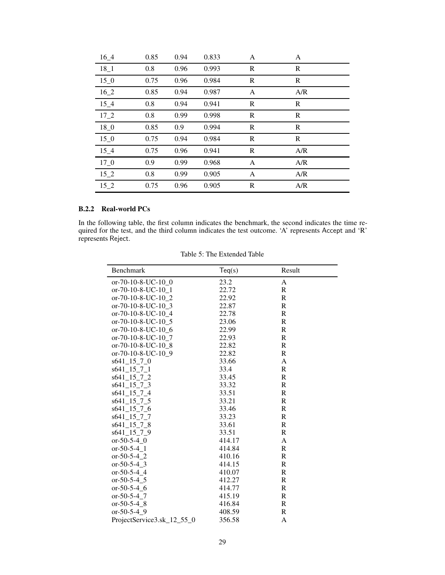| $16_4$    | 0.85 | 0.94 | 0.833 | A            | A   |  |
|-----------|------|------|-------|--------------|-----|--|
| $18_{-1}$ | 0.8  | 0.96 | 0.993 | $\mathbb{R}$ | R   |  |
| 15 0      | 0.75 | 0.96 | 0.984 | $\mathbb{R}$ | R   |  |
| $16_{-2}$ | 0.85 | 0.94 | 0.987 | A            | A/R |  |
| $15\_4$   | 0.8  | 0.94 | 0.941 | R            | R   |  |
| $17_{-2}$ | 0.8  | 0.99 | 0.998 | $\mathbb{R}$ | R   |  |
| $18_0$    | 0.85 | 0.9  | 0.994 | $\mathbb{R}$ | R   |  |
| $15\_0$   | 0.75 | 0.94 | 0.984 | $\mathbb{R}$ | R   |  |
| 15 4      | 0.75 | 0.96 | 0.941 | R            | A/R |  |
| $17_{-}0$ | 0.9  | 0.99 | 0.968 | A            | A/R |  |
| $15_{-2}$ | 0.8  | 0.99 | 0.905 | A            | A/R |  |
| $15_{-2}$ | 0.75 | 0.96 | 0.905 | R            | A/R |  |

# B.2.2 Real-world PCs

In the following table, the first column indicates the benchmark, the second indicates the time required for the test, and the third column indicates the test outcome. 'A' represents Accept and 'R' represents Reject.

|  | Table 5: The Extended Table |  |
|--|-----------------------------|--|
|--|-----------------------------|--|

| Benchmark                                      | Teq(s) | Result       |
|------------------------------------------------|--------|--------------|
| or-70-10-8-UC-10_0                             | 23.2   | A            |
| or-70-10-8-UC-10 1                             | 22.72  | $\mathbf R$  |
| or-70-10-8-UC-10 2                             | 22.92  | R            |
| or-70-10-8-UC-10 3                             | 22.87  | $\mathbb{R}$ |
| or-70-10-8-UC-10 4                             | 22.78  | $\mathbf R$  |
| or-70-10-8-UC-10 5                             | 23.06  | R            |
| or-70-10-8-UC-10 6                             | 22.99  | R            |
| or-70-10-8-UC-10 7                             | 22.93  | $\mathbf R$  |
| or-70-10-8-UC-10 8                             | 22.82  | $\mathbf R$  |
| or-70-10-8-UC-10 9                             | 22.82  | $\mathbf R$  |
| s641 15 7 0                                    | 33.66  | A            |
| s641 15 7 1                                    | 33.4   | $\mathbf R$  |
| $s641\_15\_7\_2$                               | 33.45  | $\mathbb{R}$ |
| $s641$ <sup>15</sup> <sup>7</sup> <sup>3</sup> | 33.32  | $\mathbf R$  |
| $s641\_15\_7\_4$                               | 33.51  | R            |
| $s641$ <sub>-15</sub> $-7$ , 5                 | 33.21  | $\mathbb{R}$ |
| s641 15 7 6                                    | 33.46  | R            |
| s641 15 7 7                                    | 33.23  | R            |
| $s641\_15\_7\_8$                               | 33.61  | R            |
| s641 15 7 9                                    | 33.51  | R            |
| $or-50-5-4$ 0                                  | 414.17 | A            |
| $or-50-5-4$ 1                                  | 414.84 | R            |
| or-50-5-4 $2$                                  | 410.16 | R            |
| $or-50-5-4$ 3                                  | 414.15 | R            |
| $or-50-5-4$ 4                                  | 410.07 | $\mathbb{R}$ |
| $or-50-5-4$ 5                                  | 412.27 | $\mathbb{R}$ |
| $or-50-5-4$ 6                                  | 414.77 | R            |
| $or-50-5-4$ 7                                  | 415.19 | R            |
| $or-50-5-4$ 8                                  | 416.84 | R            |
| or-50-5-4 9                                    | 408.59 | R            |
| ProjectService3.sk_12_55_0                     | 356.58 | A            |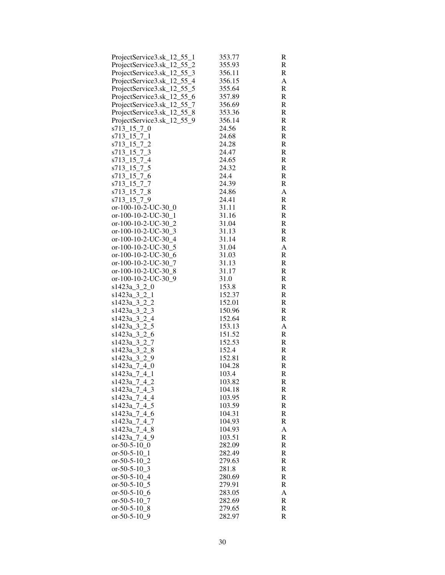| ProjectService3.sk_12_55_1                 | 353.77         | R      |
|--------------------------------------------|----------------|--------|
| ProjectService3.sk_12_55_2                 | 355.93         | R      |
| ProjectService3.sk_12_55_3                 | 356.11         | R      |
| ProjectService3.sk_12_55_4                 | 356.15         | A      |
| ProjectService3.sk_12_55_5                 | 355.64         | R      |
| ProjectService3.sk_12_55_6                 | 357.89         | R      |
| ProjectService3.sk_12_55<br>7              | 356.69         | R      |
| ProjectService3.sk_12_55_8                 | 353.36         | R      |
| ProjectService3.sk_12_55_9                 | 356.14         | R      |
| s713_15_7_0                                | 24.56          | R      |
| s713_15_7_1                                | 24.68          | R      |
| s713_15_7_2                                | 24.28          | R      |
| s713 15 7 3                                | 24.47          | R      |
| s713_15_7_4                                | 24.65          | R      |
| s713_15_7_5                                | 24.32          | R      |
| s713_15_7_6                                | 24.4           | R      |
| s713_15_7_7                                | 24.39          | R      |
| s713_15_7_<br>8                            | 24.86          | A      |
| s713_15_7_9                                | 24.41          | R      |
| or-100-10-2-UC-30 $_0$                     | 31.11          | R      |
| or-100-10-2-UC-30_1                        | 31.16          | R      |
| or-100-10-2-UC-30_2                        | 31.04          | R      |
| or-100-10-2-UC-30 3<br>or-100-10-2-UC-30 4 | 31.13<br>31.14 | R<br>R |
| or-100-10-2-UC-30 5                        | 31.04          | A      |
| or-100-10-2-UC-30 $6$                      | 31.03          | R      |
| or-100-10-2-UC-30_7                        | 31.13          | R      |
| or-100-10-2-UC-30_8                        | 31.17          | R      |
| or-100-10-2-UC-30_9                        | 31.0           | R      |
| s1423a_3_2_0                               | 153.8          | R      |
| $s1423a_32_1$                              | 152.37         | R      |
| s1423a_3_2_2                               | 152.01         | R      |
| s1423a_3_2_3                               | 150.96         | R      |
| s1423a_3_2_4                               | 152.64         | R      |
| s1423a_3_2_5                               | 153.13         | A      |
| s1423a_3_2 6                               | 151.52         | R      |
| s1423a_3_2_7                               | 152.53         | R      |
| s1423a_3_2_8                               | 152.4          | R      |
| s1423a_3_2_9                               | 152.81         | R      |
| s1423a_7_4_0                               | 104.28         | R      |
| s1423a_7_4_1                               | 103.4          | R      |
| s1423a_7_4_2                               | 103.82         | R      |
| s1423a_7_4_3                               | 104.18         | R      |
| s1423a_7_4_4                               | 103.95         | R      |
| s1423a 7 4 5                               | 103.59         | R      |
| s1423a 7 4 6                               | 104.31         | R      |
| s1423a 7 4 7                               | 104.93         | R      |
| s1423a_7_4_8                               | 104.93         | A      |
| s1423a_7_4_9                               | 103.51         | R      |
| $or -50 -5 - 10$ 0                         | 282.09         | R      |
| $or-50-5-10$ 1                             | 282.49         | R      |
| $or -50 -5 - 10$ 2                         | 279.63         | R      |
| or-50-5-10_3                               | 281.8          | R      |
| or-50-5-10 $-4$                            | 280.69         | R      |
| or-50-5-10 $\_5$                           | 279.91         | R      |
| or-50-5-10 $6$                             | 283.05         | A      |
| or-50-5-10 7                               | 282.69         | R      |
| or-50-5-10 $8$                             | 279.65         | R      |
| or-50-5-10 $9$                             | 282.97         | R      |